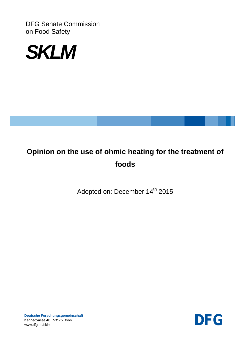DFG Senate Commission on Food Safety



# **Opinion on the use of ohmic heating for the treatment of foods**

Adopted on: December 14<sup>th</sup> 2015



**Deutsche Forschungsgemeinschaft** Kennedyallee 40 ∙ 53175 Bonn Deutsche Forschungsgemeinschaft<br>Kennedyallee 40 · 53175 Bonn<br>www.dfg.de/sklm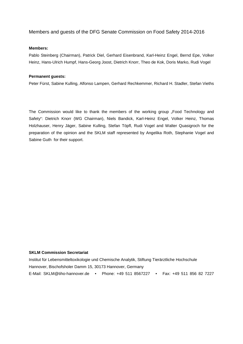## Members and guests of the DFG Senate Commission on Food Safety 2014-2016

#### **Members:**

Pablo Steinberg (Chairman), Patrick Diel, Gerhard Eisenbrand, Karl-Heinz Engel, Bernd Epe, Volker Heinz, Hans-Ulrich Humpf, Hans-Georg Joost, Dietrich Knorr, Theo de Kok, Doris Marko, Rudi Vogel

#### **Permanent guests:**

Peter Fürst, Sabine Kulling, Alfonso Lampen, Gerhard Rechkemmer, Richard H. Stadler, Stefan Vieths

The Commission would like to thank the members of the working group "Food Technology and Safety": Dietrich Knorr (WG Chairman), Niels Bandick, Karl-Heinz Engel, Volker Heinz, Thomas Holzhauser, Henry Jäger, Sabine Kulling, Stefan Töpfl, Rudi Vogel and Walter Quasigroch for the preparation of the opinion and the SKLM staff represented by Angelika Roth, Stephanie Vogel and Sabine Guth for their support.

#### **SKLM Commission Secretariat**

Institut für Lebensmitteltoxikologie und Chemische Analytik, Stiftung Tierärztliche Hochschule Hannover, Bischofsholer Damm 15, 30173 Hannover, Germany E-Mail: SKLM@tiho-hannover.de • Phone: +49 511 8567227 • Fax: +49 511 856 82 7227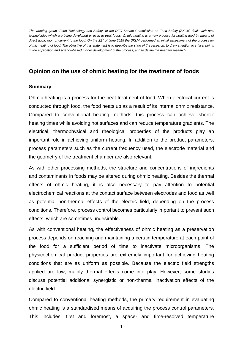*The working group "Food Technology and Safety" of the DFG Senate Commission on Food Safety (SKLM) deals with new technologies which are being developed or used to treat foods. Ohmic heating is a new process for heating food by means of direct application of current to the food. On the 22th of June 2015 the SKLM performed an initial assessment of the process for ohmic heating of food. The objective of this statement is to describe the state of the research, to draw attention to critical points in the application and science-based further development of the process, and to define the need for research.* 

## **Opinion on the use of ohmic heating for the treatment of foods**

## **Summary**

Ohmic heating is a process for the heat treatment of food. When electrical current is conducted through food, the food heats up as a result of its internal ohmic resistance. Compared to conventional heating methods, this process can achieve shorter heating times while avoiding hot surfaces and can reduce temperature gradients. The electrical, thermophysical and rheological properties of the products play an important role in achieving uniform heating. In addition to the product parameters, process parameters such as the current frequency used, the electrode material and the geometry of the treatment chamber are also relevant.

As with other processing methods, the structure and concentrations of ingredients and contaminants in foods may be altered during ohmic heating. Besides the thermal effects of ohmic heating, it is also necessary to pay attention to potential electrochemical reactions at the contact surface between electrodes and food as well as potential non-thermal effects of the electric field, depending on the process conditions. Therefore, process control becomes particularly important to prevent such effects, which are sometimes undesirable.

As with conventional heating, the effectiveness of ohmic heating as a preservation process depends on reaching and maintaining a certain temperature at each point of the food for a sufficient period of time to inactivate microorganisms. The physicochemical product properties are extremely important for achieving heating conditions that are as uniform as possible. Because the electric field strengths applied are low, mainly thermal effects come into play. However, some studies discuss potential additional synergistic or non-thermal inactivation effects of the electric field.

Compared to conventional heating methods, the primary requirement in evaluating ohmic heating is a standardised means of acquiring the process control parameters. This includes, first and foremost, a space- and time-resolved temperature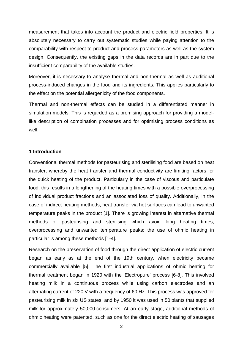measurement that takes into account the product and electric field properties. It is absolutely necessary to carry out systematic studies while paying attention to the comparability with respect to product and process parameters as well as the system design. Consequently, the existing gaps in the data records are in part due to the insufficient comparability of the available studies.

Moreover, it is necessary to analyse thermal and non-thermal as well as additional process-induced changes in the food and its ingredients. This applies particularly to the effect on the potential allergenicity of the food components.

Thermal and non-thermal effects can be studied in a differentiated manner in simulation models. This is regarded as a promising approach for providing a modellike description of combination processes and for optimising process conditions as well.

### **1 Introduction**

Conventional thermal methods for pasteurising and sterilising food are based on heat transfer, whereby the heat transfer and thermal conductivity are limiting factors for the quick heating of the product. Particularly in the case of viscous and particulate food, this results in a lengthening of the heating times with a possible overprocessing of individual product fractions and an associated loss of quality. Additionally, in the case of indirect heating methods, heat transfer via hot surfaces can lead to unwanted temperature peaks in the product [\[1\]](#page-26-0). There is growing interest in alternative thermal methods of pasteurising and sterilising which avoid long heating times, overprocessing and unwanted temperature peaks; the use of ohmic heating in particular is among these methods [\[1-4\]](#page-26-0).

Research on the preservation of food through the direct application of electric current began as early as at the end of the 19th century, when electricity became commercially available [\[5\]](#page-26-1). The first industrial applications of ohmic heating for thermal treatment began in 1920 with the 'Electropure' process [\[6-8\]](#page-26-2). This involved heating milk in a continuous process while using carbon electrodes and an alternating current of 220 V with a frequency of 60 Hz. This process was approved for pasteurising milk in six US states, and by 1950 it was used in 50 plants that supplied milk for approximately 50,000 consumers. At an early stage, additional methods of ohmic heating were patented, such as one for the direct electric heating of sausages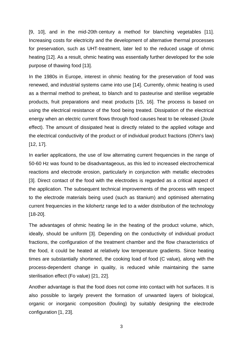[\[9,](#page-26-3) [10\]](#page-26-4), and in the mid-20th century a method for blanching vegetables [\[11\]](#page-26-5). Increasing costs for electricity and the development of alternative thermal processes for preservation, such as UHT-treatment, later led to the reduced usage of ohmic heating [\[12\]](#page-26-6). As a result, ohmic heating was essentially further developed for the sole purpose of thawing food [\[13\]](#page-26-7).

In the 1980s in Europe, interest in ohmic heating for the preservation of food was renewed, and industrial systems came into use [\[14\]](#page-26-8). Currently, ohmic heating is used as a thermal method to preheat, to blanch and to pasteurise and sterilise vegetable products, fruit preparations and meat products [\[15,](#page-26-9) [16\]](#page-26-10). The process is based on using the electrical resistance of the food being treated. Dissipation of the electrical energy when an electric current flows through food causes heat to be released (Joule effect). The amount of dissipated heat is directly related to the applied voltage and the electrical conductivity of the product or of individual product fractions (Ohm's law) [\[12,](#page-26-6) [17\]](#page-26-11).

In earlier applications, the use of low alternating current frequencies in the range of 50-60 Hz was found to be disadvantageous, as this led to increased electrochemical reactions and electrode erosion, particularly in conjunction with metallic electrodes [\[3\]](#page-26-12). Direct contact of the food with the electrodes is regarded as a critical aspect of the application. The subsequent technical improvements of the process with respect to the electrode materials being used (such as titanium) and optimised alternating current frequencies in the kilohertz range led to a wider distribution of the technology [\[18-20\]](#page-26-13).

The advantages of ohmic heating lie in the heating of the product volume, which, ideally, should be uniform [\[3\]](#page-26-12). Depending on the conductivity of individual product fractions, the configuration of the treatment chamber and the flow characteristics of the food, it could be heated at relatively low temperature gradients. Since heating times are substantially shortened, the cooking load of food (C value), along with the process-dependent change in quality, is reduced while maintaining the same sterilisation effect (Fo value) [\[21,](#page-27-0) [22\]](#page-27-1).

Another advantage is that the food does not come into contact with hot surfaces. It is also possible to largely prevent the formation of unwanted layers of biological, organic or inorganic composition (fouling) by suitably designing the electrode configuration [\[1,](#page-26-0) [23\]](#page-27-2).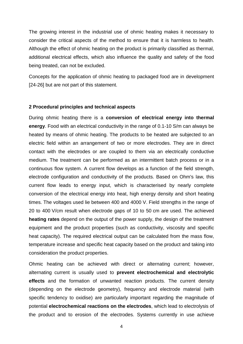The growing interest in the industrial use of ohmic heating makes it necessary to consider the critical aspects of the method to ensure that it is harmless to health. Although the effect of ohmic heating on the product is primarily classified as thermal, additional electrical effects, which also influence the quality and safety of the food being treated, can not be excluded.

Concepts for the application of ohmic heating to packaged food are in development [\[24-26\]](#page-27-3) but are not part of this statement.

#### **2 Procedural principles and technical aspects**

During ohmic heating there is a **conversion of electrical energy into thermal energy**. Food with an electrical conductivity in the range of 0.1-10 S/m can always be heated by means of ohmic heating. The products to be heated are subjected to an electric field within an arrangement of two or more electrodes. They are in direct contact with the electrodes or are coupled to them via an electrically conductive medium. The treatment can be performed as an intermittent batch process or in a continuous flow system. A current flow develops as a function of the field strength, electrode configuration and conductivity of the products. Based on Ohm's law, this current flow leads to energy input, which is characterised by nearly complete conversion of the electrical energy into heat, high energy density and short heating times. The voltages used lie between 400 and 4000 V. Field strengths in the range of 20 to 400 V/cm result when electrode gaps of 10 to 50 cm are used. The achieved **heating rates** depend on the output of the power supply, the design of the treatment equipment and the product properties (such as conductivity, viscosity and specific heat capacity). The required electrical output can be calculated from the mass flow, temperature increase and specific heat capacity based on the product and taking into consideration the product properties.

Ohmic heating can be achieved with direct or alternating current; however, alternating current is usually used to **prevent electrochemical and electrolytic effects** and the formation of unwanted reaction products. The current density (depending on the electrode geometry), frequency and electrode material (with specific tendency to oxidise) are particularly important regarding the magnitude of potential **electrochemical reactions on the electrodes**, which lead to electrolysis of the product and to erosion of the electrodes. Systems currently in use achieve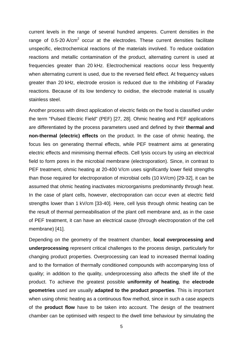current levels in the range of several hundred amperes. Current densities in the range of 0.5-20  $A/cm<sup>2</sup>$  occur at the electrodes. These current densities facilitate unspecific, electrochemical reactions of the materials involved. To reduce oxidation reactions and metallic contamination of the product, alternating current is used at frequencies greater than 20 kHz. Electrochemical reactions occur less frequently when alternating current is used, due to the reversed field effect. At frequency values greater than 20 kHz, electrode erosion is reduced due to the inhibiting of Faraday reactions. Because of its low tendency to oxidise, the electrode material is usually stainless steel.

Another process with direct application of electric fields on the food is classified under the term "Pulsed Electric Field" (PEF) [\[27,](#page-27-4) [28\]](#page-27-5). Ohmic heating and PEF applications are differentiated by the process parameters used and defined by their **thermal and non-thermal (electric) effects** on the product. In the case of ohmic heating, the focus lies on generating thermal effects, while PEF treatment aims at generating electric effects and minimising thermal effects. Cell lysis occurs by using an electrical field to form pores in the microbial membrane (electroporation). Since, in contrast to PEF treatment, ohmic heating at 20-400 V/cm uses significantly lower field strengths than those required for electroporation of microbial cells (10 kV/cm) [\[29-32\]](#page-27-6), it can be assumed that ohmic heating inactivates microorganisms predominantly through heat. In the case of plant cells, however, electroporation can occur even at electric field strengths lower than 1 kV/cm [\[33-40\]](#page-27-7). Here, cell lysis through ohmic heating can be the result of thermal permeabilisation of the plant cell membrane and, as in the case of PEF treatment, it can have an electrical cause (through electroporation of the cell membrane) [\[41\]](#page-28-0).

Depending on the geometry of the treatment chamber, **local overprocessing and underprocessing** represent critical challenges to the process design, particularly for changing product properties. Overprocessing can lead to increased thermal loading and to the formation of thermally conditioned compounds with accompanying loss of quality; in addition to the quality, underprocessing also affects the shelf life of the product. To achieve the greatest possible **uniformity of heating**, the **electrode geometries** used are usually **adapted to the product properties**. This is important when using ohmic heating as a continuous flow method, since in such a case aspects of the **product flow** have to be taken into account. The design of the treatment chamber can be optimised with respect to the dwell time behaviour by simulating the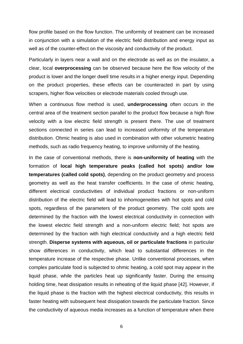flow profile based on the flow function. The uniformity of treatment can be increased in conjunction with a simulation of the electric field distribution and energy input as well as of the counter-effect on the viscosity and conductivity of the product.

Particularly in layers near a wall and on the electrode as well as on the insulator, a clear, local **overprocessing** can be observed because here the flow velocity of the product is lower and the longer dwell time results in a higher energy input. Depending on the product properties, these effects can be counteracted in part by using scrapers, higher flow velocities or electrode materials cooled through use.

When a continuous flow method is used, **underprocessing** often occurs in the central area of the treatment section parallel to the product flow because a high flow velocity with a low electric field strength is present there. The use of treatment sections connected in series can lead to increased uniformity of the temperature distribution. Ohmic heating is also used in combination with other volumetric heating methods, such as radio frequency heating, to improve uniformity of the heating.

In the case of conventional methods, there is **non-uniformity of heating** with the formation of **local high temperature peaks (called hot spots) and/or low temperatures (called cold spots)**, depending on the product geometry and process geometry as well as the heat transfer coefficients. In the case of ohmic heating, different electrical conductivities of individual product fractions or non-uniform distribution of the electric field will lead to inhomogeneities with hot spots and cold spots, regardless of the parameters of the product geometry. The cold spots are determined by the fraction with the lowest electrical conductivity in connection with the lowest electric field strength and a non-uniform electric field; hot spots are determined by the fraction with high electrical conductivity and a high electric field strength. **Disperse systems with aqueous, oil or particulate fractions** in particular show differences in conductivity, which lead to substantial differences in the temperature increase of the respective phase. Unlike conventional processes, when complex particulate food is subjected to ohmic heating, a cold spot may appear in the liquid phase, while the particles heat up significantly faster. During the ensuing holding time, heat dissipation results in reheating of the liquid phase [\[42\]](#page-28-1). However, if the liquid phase is the fraction with the highest electrical conductivity, this results in faster heating with subsequent heat dissipation towards the particulate fraction. Since the conductivity of aqueous media increases as a function of temperature when there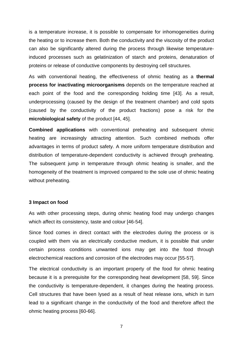is a temperature increase, it is possible to compensate for inhomogeneities during the heating or to increase them. Both the conductivity and the viscosity of the product can also be significantly altered during the process through likewise temperatureinduced processes such as gelatinization of starch and proteins, denaturation of proteins or release of conductive components by destroying cell structures.

As with conventional heating, the effectiveness of ohmic heating as a **thermal process for inactivating microorganisms** depends on the temperature reached at each point of the food and the corresponding holding time [\[43\]](#page-28-2). As a result, underprocessing (caused by the design of the treatment chamber) and cold spots (caused by the conductivity of the product fractions) pose a risk for the **microbiological safety** of the product [\[44,](#page-28-3) [45\]](#page-28-4).

**Combined applications** with conventional preheating and subsequent ohmic heating are increasingly attracting attention. Such combined methods offer advantages in terms of product safety. A more uniform temperature distribution and distribution of temperature-dependent conductivity is achieved through preheating. The subsequent jump in temperature through ohmic heating is smaller, and the homogeneity of the treatment is improved compared to the sole use of ohmic heating without preheating.

#### **3 Impact on food**

As with other processing steps, during ohmic heating food may undergo changes which affect its consistency, taste and colour [\[46-54\]](#page-28-5).

Since food comes in direct contact with the electrodes during the process or is coupled with them via an electrically conductive medium, it is possible that under certain process conditions unwanted ions may get into the food through electrochemical reactions and corrosion of the electrodes may occur [\[55-57\]](#page-28-6).

The electrical conductivity is an important property of the food for ohmic heating because it is a prerequisite for the corresponding heat development [\[58,](#page-29-0) [59\]](#page-29-1). Since the conductivity is temperature-dependent, it changes during the heating process. Cell structures that have been lysed as a result of heat release ions, which in turn lead to a significant change in the conductivity of the food and therefore affect the ohmic heating process [\[60-66\]](#page-29-2).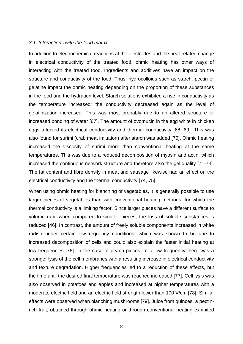#### *3.1. Interactions with the food matrix*

In addition to electrochemical reactions at the electrodes and the heat-related change in electrical conductivity of the treated food, ohmic heating has other ways of interacting with the treated food. Ingredients and additives have an impact on the structure and conductivity of the food. Thus, hydrocolloids such as starch, pectin or gelatine impact the ohmic heating depending on the proportion of these substances in the food and the hydration level. Starch solutions exhibited a rise in conductivity as the temperature increased; the conductivity decreased again as the level of gelatinization increased. This was most probably due to an altered structure or increased bonding of water [\[67\]](#page-29-3). The amount of ovomucin in the egg white in chicken eggs affected its electrical conductivity and thermal conductivity [\[68,](#page-29-4) [69\]](#page-29-5). This was also found for surimi (crab meat imitation) after starch was added [\[70\]](#page-29-6). Ohmic heating increased the viscosity of surimi more than conventional heating at the same temperatures. This was due to a reduced decomposition of myosin and actin, which increased the continuous network structure and therefore also the gel quality [\[71-73\]](#page-29-7). The fat content and fibre density in meat and sausage likewise had an effect on the electrical conductivity and the thermal conductivity [\[74,](#page-29-8) [75\]](#page-29-9).

When using ohmic heating for blanching of vegetables, it is generally possible to use larger pieces of vegetables than with conventional heating methods, for which the thermal conductivity is a limiting factor. Since larger pieces have a different surface to volume ratio when compared to smaller pieces, the loss of soluble substances is reduced [\[46\]](#page-28-5). In contrast, the amount of freely soluble components increased in white radish under certain low-frequency conditions, which was shown to be due to increased decomposition of cells and could also explain the faster initial heating at low frequencies [\[76\]](#page-29-10). In the case of peach pieces, at a low frequency there was a stronger lysis of the cell membranes with a resulting increase in electrical conductivity and texture degradation. Higher frequencies led to a reduction of these effects, but the time until the desired final temperature was reached increased [\[77\]](#page-30-0). Cell lysis was also observed in potatoes and apples and increased at higher temperatures with a moderate electric field and an electric field strength lower than 100 V/cm [\[78\]](#page-30-1). Similar effects were observed when blanching mushrooms [\[79\]](#page-30-2). Juice from quinces, a pectinrich fruit, obtained through ohmic heating or through conventional heating exhibited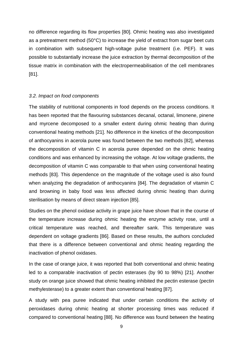no difference regarding its flow properties [\[80\]](#page-30-3). Ohmic heating was also investigated as a pretreatment method (50°C) to increase the yield of extract from sugar beet cuts in combination with subsequent high-voltage pulse treatment (i.e. PEF). It was possible to substantially increase the juice extraction by thermal decomposition of the tissue matrix in combination with the electropermeabilisation of the cell membranes [\[81\]](#page-30-4).

#### *3.2. Impact on food components*

The stability of nutritional components in food depends on the process conditions. It has been reported that the flavouring substances decanal, octanal, limonene, pinene and myrcene decomposed to a smaller extent during ohmic heating than during conventional heating methods [\[21\]](#page-27-0). No difference in the kinetics of the decomposition of anthocyanins in acerola puree was found between the two methods [\[82\]](#page-30-5), whereas the decomposition of vitamin C in acerola puree depended on the ohmic heating conditions and was enhanced by increasing the voltage. At low voltage gradients, the decomposition of vitamin C was comparable to that when using conventional heating methods [\[83\]](#page-30-6). This dependence on the magnitude of the voltage used is also found when analyzing the degradation of anthocyanins [\[84\]](#page-30-7). The degradation of vitamin C and browning in baby food was less affected during ohmic heating than during sterilisation by means of direct steam injection [\[85\]](#page-30-8).

Studies on the phenol oxidase activity in grape juice have shown that in the course of the temperature increase during ohmic heating the enzyme activity rose, until a critical temperature was reached, and thereafter sank. This temperature was dependent on voltage gradients [\[86\]](#page-30-9). Based on these results, the authors concluded that there is a difference between conventional and ohmic heating regarding the inactivation of phenol oxidases.

In the case of orange juice, it was reported that both conventional and ohmic heating led to a comparable inactivation of pectin esterases (by 90 to 98%) [\[21\]](#page-27-0). Another study on orange juice showed that ohmic heating inhibited the pectin esterase (pectin methylesterase) to a greater extent than conventional heating [\[87\]](#page-30-10).

A study with pea puree indicated that under certain conditions the activity of peroxidases during ohmic heating at shorter processing times was reduced if compared to conventional heating [\[88\]](#page-30-11). No difference was found between the heating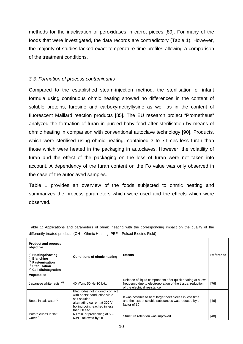methods for the inactivation of peroxidases in carrot pieces [\[89\]](#page-30-12). For many of the foods that were investigated, the data records are contradictory (Table 1). However, the majority of studies lacked exact temperature-time profiles allowing a comparison of the treatment conditions.

## *3.3. Formation of process contaminants*

Compared to the established steam-injection method, the sterilisation of infant formula using continuous ohmic heating showed no differences in the content of soluble proteins, furosine and carboxymethyllysine as well as in the content of fluorescent Maillard reaction products [\[85\]](#page-30-8). The EU research project "Prometheus" analyzed the formation of furan in pureed baby food after sterilisation by means of ohmic heating in comparison with conventional autoclave technology [\[90\]](#page-30-13). Products, which were sterilised using ohmic heating, contained 3 to 7 times less furan than those which were heated in the packaging in autoclaves. However, the volatility of furan and the effect of the packaging on the loss of furan were not taken into account. A dependency of the furan content on the Fo value was only observed in the case of the autoclaved samples.

Table 1 provides an overview of the foods subjected to ohmic heating and summarizes the process parameters which were used and the effects which were observed.

| <b>Product and process</b><br>objective<br>$(1)$ Heating/thawing<br>$(2)$ Blanching<br><sup>(3)</sup> Pasteurisation<br><sup>(4)</sup> Sterilisation<br><sup>(5)</sup> Cell disintegration | <b>Conditions of ohmic heating</b>                                                                                                                                   | <b>Effects</b>                                                                                                                                         | Reference |
|--------------------------------------------------------------------------------------------------------------------------------------------------------------------------------------------|----------------------------------------------------------------------------------------------------------------------------------------------------------------------|--------------------------------------------------------------------------------------------------------------------------------------------------------|-----------|
| <b>Vegetables</b>                                                                                                                                                                          |                                                                                                                                                                      |                                                                                                                                                        |           |
| Japanese white radish <sup>(1)</sup>                                                                                                                                                       | 40 V/cm, 50 Hz-10 kHz                                                                                                                                                | Release of liquid components after quick heating at a low<br>frequency due to electroporation of the tissue, reduction<br>of the electrical resistance | $[76]$    |
| Beets in salt water $(2)$                                                                                                                                                                  | Electrodes not in direct contact<br>with beets: conduction via a<br>salt solution,<br>alternating current at 300 V.<br>boiling point reached in less<br>than 30 sec. | It was possible to heat larger beet pieces in less time,<br>and the loss of soluble substances was reduced by a<br>factor of 10                        | $[46]$    |
| Potato cubes in salt<br>water $(4)$                                                                                                                                                        | 60 min. of precooking at 55-<br>60°C, followed by OH                                                                                                                 | Structure retention was improved                                                                                                                       | $[48]$    |

Table 1: Applications and parameters of ohmic heating with the corresponding impact on the quality of the differently treated products (OH – Ohmic Heating, PEF – Pulsed Electric Field)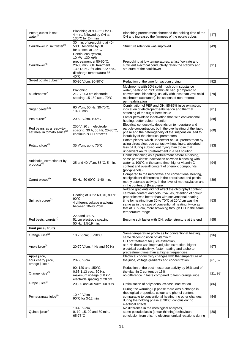| Potato cubes in salt<br>water <sup>(4)</sup>                                                                                             | Blanching at 90-95°C for 1-<br>4 min., followed by OH at<br>135°C for 2-4 min.                                                                                                 | Blanching pretreatment shortened the holding time of the<br>OH and increased the firmness of the potato cubes                                                                                                                                                                                                                                                               | $[47]$   |
|------------------------------------------------------------------------------------------------------------------------------------------|--------------------------------------------------------------------------------------------------------------------------------------------------------------------------------|-----------------------------------------------------------------------------------------------------------------------------------------------------------------------------------------------------------------------------------------------------------------------------------------------------------------------------------------------------------------------------|----------|
| Cauliflower in salt water <sup>(4)</sup>                                                                                                 | 30 min. of precooking at 40-<br>50°C, followed by OH<br>for 30 sec. at 135°C                                                                                                   | Structure retention was improved                                                                                                                                                                                                                                                                                                                                            | $[49]$   |
| Cauliflower <sup>(4)</sup>                                                                                                               | Continuous system,<br>10 kW, 130 kg/h,<br>pretreatment at 50-60°C,<br>20-30 min., OH treatment<br>130-131°C, for about 22 sec.,<br>discharge temperature 36-<br>$40^{\circ}$ C | Precooking at low temperatures, a fast flow rate and<br>sufficient electrical conductivity retain the stability and<br>structure of the cauliflower                                                                                                                                                                                                                         | $[91]$   |
| Sweet potato cubes <sup>(1,5)</sup>                                                                                                      | 50-90 V/cm, 30-90°C                                                                                                                                                            | Reduction of the time for vacuum drying                                                                                                                                                                                                                                                                                                                                     | $[92]$   |
| Mushrooms <sup>(2)</sup>                                                                                                                 | Blanching,<br>212 V; 7.3 cm electrode<br>spacing; 15-180 sec., 70°C                                                                                                            | Mushrooms with 50% solid mushroom substance in<br>water, heating to 70°C within 40 sec. (compared to<br>conventional blanching, usually with less than 25% solid<br>mushroom substance), indications of non-thermal<br>permeabilisation                                                                                                                                     | $[79]$   |
| Sugar beets <sup>(1,5)</sup>                                                                                                             | 60 V/cm, 50 Hz, 30-70°C,<br>10-30 min.                                                                                                                                         | Combination of PEF and OH, 85-87% juice extraction,<br>indication of electropermeabilisation and thermal<br>softening of the sugar beet tissue                                                                                                                                                                                                                              | $[81]$   |
| Pea puree <sup>(2)</sup>                                                                                                                 | 20-50 V/cm, 100°C                                                                                                                                                              | Faster peroxidase inactivation than with conventional<br>heating, better colour retention                                                                                                                                                                                                                                                                                   | [88]     |
| Red beans as a ready-to-<br>eat meal in tomato sauce <sup>(3)</sup>                                                                      | 250 V, 20 cm electrode<br>spacing, 30 A, 50 Hz, 20-80°C,<br>continuous OH process                                                                                              | Electrical conductivity depends on temperature and<br>particle concentration; both the overheating of the liquid<br>phase and the heterogeneity of the suspension lead to<br>instability of the electrical parameters                                                                                                                                                       | [60]     |
| Potato slices <sup>(1)</sup>                                                                                                             | 35 V/cm, up to 75°C                                                                                                                                                            | Potato pieces, which underwent an OH pretreatment by<br>using direct electrode contact without liquid, absorbed<br>less oil during subsequent frying than those that<br>underwent an OH pretreatment in a salt solution                                                                                                                                                     | $[93]$   |
| Artichoke, extraction of by-<br>products <sup>(2)</sup>                                                                                  | 25 and 40 V/cm, 85°C, 5 min.                                                                                                                                                   | Ohmic blanching as a pretreatment before air drying,<br>same peroxidase inactivation as when blanching with<br>water at 100°C in the same time, higher vitamin C<br>content and overall content of phenolic compounds<br>(polyphenols)                                                                                                                                      | $[94]$   |
| Carrot pieces <sup>(2)</sup>                                                                                                             | 50 Hz, 60-90°C, 1-40 min.                                                                                                                                                      | Compared to the microwave and conventional heating,<br>no significant differences in the peroxidase and pectin<br>methylesterase activity, in the level of methoxylation and<br>in the content of $\beta$ -carotene                                                                                                                                                         | [89]     |
| Heating at 30 to 60, 70, 80 or<br>$90^{\circ}$ C.<br>Spinach puree <sup>(1)</sup><br>4 different voltage gradients<br>between 10-40 V/cm |                                                                                                                                                                                | Voltage gradients did not affect the chlorophyll content,<br>carotene content and colour values, retention of colour<br>properties was better than with conventional heating,<br>time for heating from 30 to 70°C at 20 V/cm was the<br>same as in the case of conventional heating, twice as<br>fast at 30 V/cm, more browning through OH in the same<br>temperature range | $[53]$   |
| Red beets, carrots <sup>(1)</sup>                                                                                                        | 220 and 380 V,<br>51 cm electrode spacing,<br>50 Hz: 1.5-19 min.                                                                                                               | Become soft faster with OH, softer structure at the end                                                                                                                                                                                                                                                                                                                     | $[95]$   |
| Fruit juice / fruits                                                                                                                     |                                                                                                                                                                                |                                                                                                                                                                                                                                                                                                                                                                             |          |
| Orange juice <sup>(3)</sup>                                                                                                              | 18.2 V/cm; 65-90°C                                                                                                                                                             | Same temperature profile as for conventional heating,<br>same decomposition of vitamin C                                                                                                                                                                                                                                                                                    | [96]     |
| Apple juice <sup>(5)</sup>                                                                                                               | 20-70 V/cm, 4 Hz and 60 Hz                                                                                                                                                     | OH pretreatment for juice extraction,<br>at 4 Hz there was improved juice extraction, higher<br>electrical conductivity, faster heating and a shorter<br>pretreatment time than at higher frequencies                                                                                                                                                                       | $[97]$   |
| Apple juice,<br>sour cherry juice,<br>orange juice <sup>(3)</sup>                                                                        | 20-60 V/cm                                                                                                                                                                     | Electrical conductivity changes with the temperature of<br>the juice, voltage gradients and concentration                                                                                                                                                                                                                                                                   | [61, 62] |
| Orange juice <sup>(3)</sup>                                                                                                              | 90, 120 and 150°C;<br>0.68-1.13 sec.; 50 Hz;<br>maximum voltage of 8 kV;<br>electrode spacing of 20 cm                                                                         | Reduction of the pectin esterase activity by 98% and of<br>the vitamin C content by 15%,<br>no difference in taste compared to fresh orange juice                                                                                                                                                                                                                           | [21, 98] |
| Grape juice <sup>(3)</sup>                                                                                                               | 20, 30 and 40 V/cm, 60-90°C                                                                                                                                                    | Optimisation of polyphenol oxidase inactivation                                                                                                                                                                                                                                                                                                                             | [86]     |
| Pomegranate juice <sup>(3)</sup>                                                                                                         | 10-40 V/cm<br>90°C for 3-12 min.                                                                                                                                               | During the warming-up phase there was a change in<br>rheological properties, colour and phenol content<br>comparable to conventional heating; no other changes<br>during the holding phase at 90°C; conclusion: no<br>electrical effects                                                                                                                                    | $[54]$   |
| 10-40 V/cm,<br>Quince juice <sup>(3)</sup><br>0, 10, 15, 20 and 30 min.,<br>65-75°C                                                      |                                                                                                                                                                                | No difference in the rheological analyses,<br>same pseudoplastic (shear-thinning) behaviour;<br>conclusion from this: no electrochemical reactions during                                                                                                                                                                                                                   | [80]     |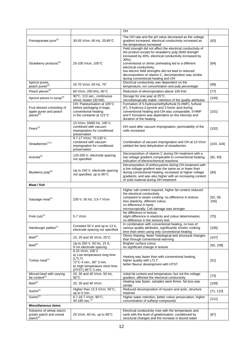|                                                                                 |                                                                                                                                               | OH                                                                                                                                                                                                                                                                                                                                                                                                                                      |                 |
|---------------------------------------------------------------------------------|-----------------------------------------------------------------------------------------------------------------------------------------------|-----------------------------------------------------------------------------------------------------------------------------------------------------------------------------------------------------------------------------------------------------------------------------------------------------------------------------------------------------------------------------------------------------------------------------------------|-----------------|
| Pomegranate juice <sup>(3)</sup>                                                | 30-55 V/cm, 60 Hz, 20-85°C                                                                                                                    | The OH rate and the pH value decreased as the voltage<br>gradient increased, electrical conductivity increased as<br>the temperature increased                                                                                                                                                                                                                                                                                          | [63]            |
| Strawberry products <sup>(3)</sup>                                              | 25-100 V/cm, 100°C                                                                                                                            | Field strength did not affect the electrical conductivity of<br>the product except for strawberry pulp (field strength<br>increased by 40%, electrical conductivity increased by<br>$30\%$ ),<br>conventional or ohmic preheating led to a different<br>electrical conductivity,<br>low electric field strengths did not lead to reduced<br>decomposition of vitamin C, decomposition was similar<br>during conventional heating and OH | [64]            |
| Apricot puree,<br>peach puree <sup>(3)</sup>                                    | 20-70 V/cm, 50 Hz, 70°                                                                                                                        | Electrical conductivity was dependent on the<br>temperature, ion concentration and pulp percentage                                                                                                                                                                                                                                                                                                                                      | $[99]$          |
| Peach pieces <sup>(3)</sup>                                                     | 60 V/cm, 200 kHz, 65°C                                                                                                                        | Reduction of electroporation above 100 kHz                                                                                                                                                                                                                                                                                                                                                                                              | $[77]$          |
| Apricot pieces in syrup <sup>(3)</sup>                                          | 90°C, 113 sec., continuous<br>ohmic heater (30 kW)                                                                                            | Storage for one year at 25°C,<br>microbiologically stable, retention of the quality attributes                                                                                                                                                                                                                                                                                                                                          | $[100]$         |
| Fruit dessert consisting of<br>apple puree and peach<br>pieces <sup>(5)</sup>   | OH: Pasteurisation at 105°C<br>before packaging in bags,<br>conventional heating:<br>in the container at 121°C                                | Formation of 5-hydroxymethylfurfural (5-HMF), furfural<br>(F), 3-hydroxy-2-pyrone and 2-furoic acid during<br>conventional heating and OH was comparable, 5-HMF<br>and F formation was dependent on the intensity and<br>duration of the heating                                                                                                                                                                                        | [101]           |
| Pears <sup>(3)</sup>                                                            | 13 V/cm, 50/60 Hz, 100 V,<br>combined with vacuum<br>impregnation for conditional<br>preservation                                             | OH used after vacuum impregnation, permeability of the<br>cells increased                                                                                                                                                                                                                                                                                                                                                               | [102]           |
| Strawberries <sup>(1,5)</sup>                                                   | 9.7-17 V/cm; 70-130 V;<br>combined with vacuum<br>impregnation for conditional<br>preservation                                                | Combination of vacuum impregnation and OH at 13 V/cm<br>yielded the best dehydration of strawberries                                                                                                                                                                                                                                                                                                                                    | [103, 104]      |
| Acerola <sup>(3)</sup>                                                          | 120-200 V, electrode spacing<br>not specified                                                                                                 | Decomposition of vitamin C during OH treatment with a<br>low voltage gradient comparable to conventional heating,<br>indication of electrochemical reactions                                                                                                                                                                                                                                                                            | [82, 83]        |
| Blueberry pulp <sup>(3)</sup>                                                   | Up to 240 V, electrode spacing<br>not specified, up to 90°C                                                                                   | Decomposition of anthocyanins during OH treatment with<br>a low voltage gradient was the same as or lower than<br>during conventional heating, increased at higher voltage<br>gradients, and was also higher with an increasing content<br>of solid material during OH treatment                                                                                                                                                        | [84]            |
| Meat / fish                                                                     |                                                                                                                                               |                                                                                                                                                                                                                                                                                                                                                                                                                                         |                 |
| Sausage meat <sup>(1)</sup><br>230 V; 50 Hz; 3.5-7 V/cm                         |                                                                                                                                               | Higher salt content required, higher fat content reduced<br>the electrical conductivity<br>compared to steam cooking: no difference in texture,<br>less elasticity, different colour,<br>no difference in taste,<br>microscopically: Cell damage was stronger                                                                                                                                                                           | [52, 58,<br>105 |
| Pork cuts <sup>(1)</sup>                                                        | 5-7 V/cm                                                                                                                                      | No difference in texture,<br>slight difference in elasticity and colour determination,<br>no difference in the sensory test                                                                                                                                                                                                                                                                                                             | $[75]$          |
| Hamburger patties <sup>(1)</sup>                                                | Constant 50 V and up to 13 A,<br>electrode spacing not specified                                                                              | In combination with conventional heating, no loss of<br>various quality attributes, significantly shorter cooking<br>time than when using only conventional heating                                                                                                                                                                                                                                                                     | [106]           |
| $Beef^{(1)}$                                                                    | 10, 20 and 30 V/cm, 25°C                                                                                                                      | Ohmic thawing, fewer histological and structural changes<br>than through conventional warming                                                                                                                                                                                                                                                                                                                                           | $[107]$         |
| Beef <sup>(1)</sup>                                                             | Up to 250 V, 50 Hz, 15 A,<br>9 cm electrode spacing                                                                                           | Brighter surface colour,<br>no significant change in texture                                                                                                                                                                                                                                                                                                                                                                            | [50, 108]       |
| Turkey meat <sup>(1)</sup>                                                      | 8.33 V/cm; 100 V<br>a) Low temperature long time<br>(LTLT)<br>72°C 4 min., 80° 3 min.<br>b) High temperature short time<br>(HTST) 95°C 5 min. | Heating was faster than with conventional heating,<br>higher quality with LTLT,<br>better flavour development with HTST                                                                                                                                                                                                                                                                                                                 | $[51]$          |
| Minced beef with varying<br>fat content <sup>(1)</sup>                          | 20, 30 and 40 V/cm, 50 Hz,<br>$80^{\circ}$ C                                                                                                  | Initial fat content and temperature, but not the voltage<br>gradient, affected the electrical conductivity                                                                                                                                                                                                                                                                                                                              | $[74]$          |
| $Beef^{(1)}$                                                                    | 20, 30 and 40 V/cm                                                                                                                            | Heating was faster, samples were firmer, fat loss was<br>similar                                                                                                                                                                                                                                                                                                                                                                        | [109]           |
| Surimi <sup>(1)</sup>                                                           | Higher than 13.3 V/cm; 55°C;<br>up to 5 min.                                                                                                  | Reduced decomposition of myosin and actin, structure<br>retained                                                                                                                                                                                                                                                                                                                                                                        | [71, 110]       |
| Surimi <sup>(1)</sup>                                                           | 6.7-16.7 V/cm; 90°C;<br>40-180 sec. <sup>(1)</sup>                                                                                            | Higher water retention, better colour preservation, higher<br>concentration of sulfanyl compounds                                                                                                                                                                                                                                                                                                                                       | [111]           |
| <b>Miscellaneous items</b>                                                      |                                                                                                                                               |                                                                                                                                                                                                                                                                                                                                                                                                                                         |                 |
| Solutions of wheat starch,<br>potato starch and cereal<br>starch <sup>(1)</sup> | 20 V/cm, 60 Hz, up to 90°C                                                                                                                    | Electrical conductivity rose with the temperature and<br>sank with the level of gelatinization, conditioned by<br>structural changes and the increase in bound water                                                                                                                                                                                                                                                                    | [67]            |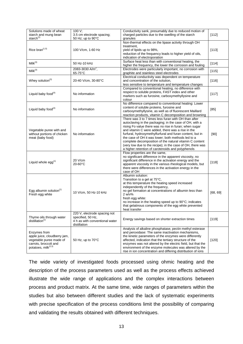| Solutions made of wheat<br>starch and mung bean<br>starch $(1)$                                                                     | 100 V;<br>3.5 cm electrode spacing;<br>50 Hz; up to 90°C                                            | Conductivity sank, presumably due to reduced motion of<br>charged particles due to the swelling of the starch<br>granules                                                                                                                                                                                                                                                                                                                                                                                                       | [112]    |
|-------------------------------------------------------------------------------------------------------------------------------------|-----------------------------------------------------------------------------------------------------|---------------------------------------------------------------------------------------------------------------------------------------------------------------------------------------------------------------------------------------------------------------------------------------------------------------------------------------------------------------------------------------------------------------------------------------------------------------------------------------------------------------------------------|----------|
| Rice bran <sup>(1,5)</sup>                                                                                                          | 100 V/cm, 1-60 Hz                                                                                   | Non-thermal effects on the lipase activity through OH<br>treatment,<br>yield of lipids up to 98%,<br>reduction of the frequency leads to higher yield of oils,<br>indication of electroporation                                                                                                                                                                                                                                                                                                                                 | [113]    |
| Milk <sup>(3)</sup>                                                                                                                 | 50 Hz-10 kHz                                                                                        | Surface heat less than with conventional heating, the<br>higher the frequency, the lower the corrosion and fouling                                                                                                                                                                                                                                                                                                                                                                                                              | $[114]$  |
| Milk <sup>(3)</sup>                                                                                                                 | 2083-3030 A/m <sup>2</sup> ,<br>$65-75$ °C                                                          | Electrodes were particularly important, no corrosion with<br>graphite and stainless steel electrodes                                                                                                                                                                                                                                                                                                                                                                                                                            | [115]    |
| Whey solution <sup>(3)</sup>                                                                                                        | 20-40 V/cm, 30-80°C                                                                                 | Electrical conductivity was dependent on temperature<br>and concentration of the solution,<br>less sensitive to temperature and temperature changes                                                                                                                                                                                                                                                                                                                                                                             | [116]    |
| Liquid baby food $(4)$                                                                                                              | No information                                                                                      | Compared to conventional heating, no difference with<br>respect to soluble proteins, FAST index and other<br>markers such as furosine, carboxymethyllysine and<br>colour                                                                                                                                                                                                                                                                                                                                                        | [117]    |
| Liquid baby food $(4)$                                                                                                              | No information                                                                                      | No difference compared to conventional heating: Lower<br>content of soluble proteins, furosine and<br>carboxymethyllysine, as well as of fluorescent Maillard<br>reaction products, vitamin C decomposition and browning                                                                                                                                                                                                                                                                                                        | $[85]$   |
| Vegetable puree with and<br>without portions of chicken<br>meat (baby food)                                                         | No information                                                                                      | There was 3 to 7 times less furan with OH than after<br>autoclaving in the packaging; in the case of OH, with a<br>rising Fo value there was no rise in furan; when sugar<br>and vitamin C were added, there was a rise in the<br>furfural, hydroxymethylfurfural and furan content, but in<br>the case of OH it was lower; both methods led to a<br>complete decomposition of the natural vitamin C content<br>(very low due to the recipe); in the case of OH, there was<br>a higher retention of carotenoids and polyphenols | $[90]$   |
| Liquid whole $egg^{(1)}$                                                                                                            | 20 V/cm<br>$20-60$ °C                                                                               | Flow properties are the same,<br>no significant difference in the apparent viscosity, no<br>significant difference in the activation energy and the<br>apparent viscosity in the various rheological models, but<br>there were differences in the activation energy in the<br>case of OH                                                                                                                                                                                                                                        | [118]    |
| Egg albumin solution $(1)$<br>Fresh egg white                                                                                       | 10 V/cm, 50 Hz-10 kHz                                                                               | Albumin solution:<br>Transition to a gel at 75°C,<br>at this temperature the heating speed increased<br>independently of the frequency,<br>no gel formation at concentrations of albumin less than<br>$2 w/v\%$<br>fresh egg white:<br>no increase in the heating speed up to 90°C; indicates<br>that gelatinous components of the egg white prevented<br>heat transfer                                                                                                                                                         | [68, 69] |
| Thyme oils through water<br>distillation <sup>(1)</sup>                                                                             | 220 V, electrode spacing not<br>specified, 50 Hz,<br>4 h as with conventional water<br>distillation | Energy savings based on shorter extraction times                                                                                                                                                                                                                                                                                                                                                                                                                                                                                | $[119]$  |
| Enzymes from<br>apple juice, cloudberry jam,<br>vegetable puree made of<br>carrots, broccoli and<br>potatoes, milk <sup>(2,3)</sup> | 50 Hz, up to 70°C                                                                                   | Analysis of alkaline phosphatase, pectin methyl esterase<br>and peroxidase: The same inactivation mechanisms,<br>the kinetic parameters of the enzymes were differently<br>affected, indication that the tertiary structure of the<br>enzymes was not altered by the electric field, but that the<br>environment of the enzyme molecules was altered by the<br>rise in ion concentration and differing distribution of ions                                                                                                     | $[120]$  |

The wide variety of investigated foods processed using ohmic heating and the description of the process parameters used as well as the process effects achieved illustrate the wide range of applications and the complex interactions between process and product matrix. At the same time, wide ranges of parameters within the studies but also between different studies and the lack of systematic experiments with precise specification of the process conditions limit the possibility of comparing and validating the results obtained with different techniques.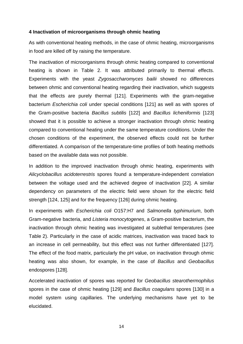## **4 Inactivation of microorganisms through ohmic heating**

As with conventional heating methods, in the case of ohmic heating, microorganisms in food are killed off by raising the temperature.

The inactivation of microorganisms through ohmic heating compared to conventional heating is shown in Table 2. It was attributed primarily to thermal effects. Experiments with the yeast *Zygosaccharomyces bailii* showed no differences between ohmic and conventional heating regarding their inactivation, which suggests that the effects are purely thermal [\[121\]](#page-32-4). Experiments with the gram-negative bacterium *Escherichia coli* under special conditions [\[121\]](#page-32-4) as well as with spores of the Gram-positive bacteria *Bacillus subtilis* [\[122\]](#page-32-5) and *Bacillus licheniformis* [\[123\]](#page-32-6) showed that it is possible to achieve a stronger inactivation through ohmic heating compared to conventional heating under the same temperature conditions. Under the chosen conditions of the experiment, the observed effects could not be further differentiated. A comparison of the temperature-time profiles of both heating methods based on the available data was not possible.

In addition to the improved inactivation through ohmic heating, experiments with *Alicyclobacillus acidoterrestris* spores found a temperature-independent correlation between the voltage used and the achieved degree of inactivation [\[22\]](#page-27-1). A similar dependency on parameters of the electric field were shown for the electric field strength [\[124,](#page-32-7) [125\]](#page-32-8) and for the frequency [\[126\]](#page-32-9) during ohmic heating.

In experiments with *Escherichia coli* O157:H7 and *Salmonella typhimurium*, both Gram-negative bacteria, and *Listeria monocytogenes*, a Gram-positive bacterium, the inactivation through ohmic heating was investigated at sublethal temperatures (see Table 2). Particularly in the case of acidic matrices, inactivation was traced back to an increase in cell permeability, but this effect was not further differentiated [\[127\]](#page-32-10). The effect of the food matrix, particularly the pH value, on inactivation through ohmic heating was also shown, for example, in the case of *Bacillus* and *Geobacillus* endospores [\[128\]](#page-32-11).

Accelerated inactivation of spores was reported for *Geobacillus stearothermophilus* spores in the case of ohmic heating [\[129\]](#page-32-12) and *Bacillus coagulans* spores [\[130\]](#page-32-13) in a model system using capillaries. The underlying mechanisms have yet to be elucidated.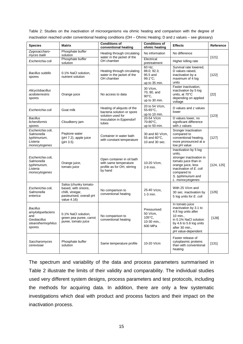| Table 2: Studies on the inactivation of microorganisms via ohmic heating and comparison with the degree of     |  |  |  |  |  |  |
|----------------------------------------------------------------------------------------------------------------|--|--|--|--|--|--|
| inactivation reached under conventional heating conditions (OH – Ohmic Heating; D and z values – see glossary) |  |  |  |  |  |  |

| <b>Species</b>                                                                             | <b>Matrix</b>                                                                                              | <b>Conditions of</b><br>conventional heating                                                  | <b>Conditions of</b><br>ohmic heating                         | <b>Effects</b>                                                                                                                                                                                | Reference  |  |
|--------------------------------------------------------------------------------------------|------------------------------------------------------------------------------------------------------------|-----------------------------------------------------------------------------------------------|---------------------------------------------------------------|-----------------------------------------------------------------------------------------------------------------------------------------------------------------------------------------------|------------|--|
| Zygosaccharo-<br>myces bailii                                                              | Phosphate buffer<br>solution                                                                               | Heating through circulating                                                                   | No information                                                | No difference                                                                                                                                                                                 | [121]      |  |
| Escherichia coli                                                                           | Phosphate buffer<br>solution                                                                               | water in the jacket of the<br>OH chamber                                                      | Electrical<br>pretreatment                                    | Higher killing rate                                                                                                                                                                           |            |  |
| <b>Bacillus subtilis</b><br>spores                                                         | 0.1% NaCl solution,<br>nutrient solution                                                                   | Heating through circulating<br>water in the jacket of the<br>OH chamber                       | 60 Hz;<br>88.0; 92.3;<br>95.5 and<br>99.1°C;<br>up to 35 min. | Survival rate lowered,<br>D values raised,<br>inactivation by a<br>maximum of 4 log<br>units                                                                                                  | [122]      |  |
| Alicyclobacillus<br>acidoterrestris<br>spores                                              | Orange juice                                                                                               | No access to data                                                                             | 30 V/cm.<br>70, 80, and<br>90°C.<br>up to 30 min.             | Faster inactivation,<br>inactivation by 5 log<br>units, at 70°C<br>depending on applied<br>voltage                                                                                            | $[22]$     |  |
| Escherichia coli                                                                           | Goat milk                                                                                                  | Heating of aliquots of the<br>bacteria solution or spore<br>solution used for                 | 20 to 54 V/cm,<br>55-65°C,<br>up to 10 min.                   | D values and z values<br>lower                                                                                                                                                                | [123]      |  |
| <b>Bacillus</b><br>licheniformis<br>spores                                                 | Cloudberry jam                                                                                             | inoculation in Eppendorf<br>tubes                                                             | 20-54 V/cm<br>70-80°C.<br>up to 50 min.                       | D values lower, no<br>significant difference<br>with z values                                                                                                                                 |            |  |
| Escherichia coli,<br>Salmonella<br>typhimurium,<br>Listeria<br>monocytogenes               | Peptone water<br>(pH 7.2), apple juice<br>(pH 3.5)                                                         | Container in water bath<br>with constant temperature                                          | 30 and 60 V/cm,<br>55 and 60°C.<br>10 and 30 sec.             | Sronger inactivation<br>compared to<br>conventional heating,<br>more pronounced at a<br>low pH value                                                                                          | [127]      |  |
| Escherichia coli,<br>Salmonella<br>typhimurium,<br>Listeria<br>monocytogenes               | Orange juice,<br>tomato juice                                                                              | Open container in oil bath<br>with same temperature<br>profile as for OH, stirring<br>by hand | 10-20 V/cm,<br>2-9 min.                                       | Inactivation by 5 log<br>units,<br>stronger inactivation in<br>tomato juice than in<br>orange juice, less<br>inactivation of E. coli<br>compared to<br>S. typhimurium and<br>L. monocytogenes | [124, 125] |  |
| Escherichia coli,<br>Salmonella<br>enterica                                                | Salsa (chunky tomato-<br>based, with onions,<br>chilli, vinegar,<br>pasteurised, overall pH<br>value 4.16) | No comparison to<br>conventional heating                                                      | 25-40 V/cm,<br>$1-3$ min.                                     | With 25 V/cm and<br>30 sec. inactivation by<br>5 log units for E. coli                                                                                                                        | $[126]$    |  |
| <b>Bacillus</b><br>amyloliquefaciens<br>and<br>Geobacillus<br>stearothermophilus<br>spores | 0.1% NaCl solution,<br>green pea puree, carrot<br>puree, tomato juice                                      | No comparison to<br>conventional heating                                                      | Pressurised:<br>50 V/cm,<br>105°C,<br>10-30 min.,<br>600 MPa  | In tomato juice<br>inactivation by 3.1 to<br>4.8 log units after<br>10 min<br>in 0.1% NaCl solution<br>by 4.6 to 5.6 log units<br>after 30 min.,<br>pH value-dependent                        | [128]      |  |
| Saccharomyces<br>cerevisiae                                                                | Phosphate buffer<br>solution                                                                               | Same temperature profile                                                                      | 10-20 V/cm                                                    | Faster release of<br>cytoplasmic proteins<br>than with conventional<br>heating                                                                                                                | [131]      |  |

The spectrum and variability of the data and process parameters summarised in Table 2 illustrate the limits of their validity and comparability. The individual studies used very different system designs, process parameters and test protocols, including the methods for acquiring data. In addition, there are only a few systematic investigations which deal with product and process factors and their impact on the inactivation process.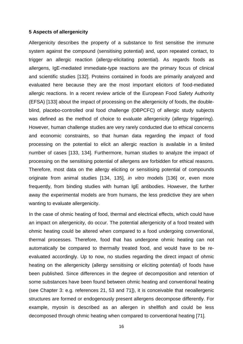#### **5 Aspects of allergenicity**

Allergenicity describes the property of a substance to first sensitise the immune system against the compound (sensitising potential) and, upon repeated contact, to trigger an allergic reaction (allergy-elicitating potential). As regards foods as allergens, IgE-mediated immediate-type reactions are the primary focus of clinical and scientific studies [\[132\]](#page-32-15). Proteins contained in foods are primarily analyzed and evaluated here because they are the most important elicitors of food-mediated allergic reactions. In a recent review article of the European Food Safety Authority (EFSA) [\[133\]](#page-32-16) about the impact of processing on the allergenicity of foods, the doubleblind, placebo-controlled oral food challenge (DBPCFC) of allergic study subjects was defined as the method of choice to evaluate allergenicity (allergy triggering). However, human challenge studies are very rarely conducted due to ethical concerns and economic constraints, so that human data regarding the impact of food processing on the potential to elicit an allergic reaction is available in a limited number of cases [\[133,](#page-32-16) [134\]](#page-32-17). Furthermore, human studies to analyze the impact of processing on the sensitising potential of allergens are forbidden for ethical reasons. Therefore, most data on the allergy eliciting or sensitising potential of compounds originate from animal studies [\[134,](#page-32-17) [135\]](#page-33-0), *in vitro* models [\[136\]](#page-33-1) or, even more frequently, from binding studies with human IgE antibodies. However, the further away the experimental models are from humans, the less predictive they are when wanting to evaluate allergenicity.

In the case of ohmic heating of food, thermal and electrical effects, which could have an impact on allergenicity, do occur. The potential allergenicity of a food treated with ohmic heating could be altered when compared to a food undergoing conventional, thermal processes. Therefore, food that has undergone ohmic heating can not automatically be compared to thermally treated food, and would have to be reevaluated accordingly. Up to now, no studies regarding the direct impact of ohmic heating on the allergenicity (allergy sensitising or eliciting potential) of foods have been published. Since differences in the degree of decomposition and retention of some substances have been found between ohmic heating and conventional heating (see Chapter 3: e.g. references [21,](#page-27-0) [53](#page-28-10) and [71\]](#page-29-7)), it is conceivable that neoallergenic structures are formed or endogenously present allergens decompose differently. For example, myosin is described as an allergen in shellfish and could be less decomposed through ohmic heating when compared to conventional heating [\[71\]](#page-29-7).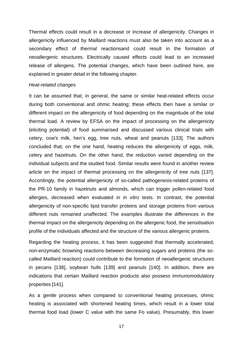Thermal effects could result in a decrease or increase of allergenicity. Changes in allergenicity influenced by Maillard reactions must also be taken into account as a secondary effect of thermal reactionsand could result in the formation of neoallergenic structures. Electrically caused effects could lead to an increased release of allergens. The potential changes, which have been outlined here, are explained in greater detail in the following chapter.

#### *Heat-related changes*

It can be assumed that, in general, the same or similar heat-related effects occur during both conventional and ohmic heating; these effects then have a similar or different impact on the allergenicity of food depending on the magnitude of the total thermal load. A review by EFSA on the impact of processing on the allergenicity (eliciting potential) of food summarised and discussed various clinical trials with celery, cow's milk, hen's egg, tree nuts, wheat and peanuts [\[133\]](#page-32-16). The authors concluded that, on the one hand, heating reduces the allergenicity of eggs, milk, celery and hazelnuts. On the other hand, the reduction varied depending on the individual subjects and the studied food. Similar results were found in another review article on the impact of thermal processing on the allergenicity of tree nuts [\[137\]](#page-33-2). Accordingly, the potential allergenicity of so-called pathogenesis-related proteins of the PR-10 family in hazelnuts and almonds, which can trigger pollen-related food allergies, decreased when evaluated in *in vitro* tests. In contrast, the potential allergenicity of non-specific lipid transfer proteins and storage proteins from various different nuts remained unaffected. The examples illustrate the differences in the thermal impact on the allergenicity depending on the allergenic food, the sensitisation profile of the individuals affected and the structure of the various allergenic proteins.

Regarding the heating process, it has been suggested that thermally accelerated, non-enzymatic browning reactions between decreasing sugars and proteins (the socalled Maillard reaction) could contribute to the formation of neoallergenic structures in pecans [\[138\]](#page-33-3), soybean hulls [\[139\]](#page-33-4) and peanuts [\[140\]](#page-33-5). In addition, there are indications that certain Maillard reaction products also possess immunomodulatory properties [\[141\]](#page-33-6).

As a gentle process when compared to conventional heating processes, ohmic heating is associated with shortened heating times, which result in a lower total thermal food load (lower C value with the same Fo value). Presumably, this lower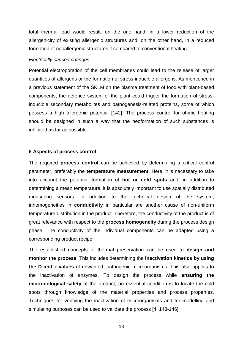total thermal load would result, on the one hand, in a lower reduction of the allergenicity of existing allergenic structures and, on the other hand, in a reduced formation of neoallergenic structures if compared to conventional heating.

#### *Electrically caused changes*

Potential electroporation of the cell membranes could lead to the release of larger quantities of allergens or the formation of stress-inducible allergens. As mentioned in a previous statement of the SKLM on the plasma treatment of food with plant-based components, the defence system of the plant could trigger the formation of stressinducible secondary metabolites and pathogenesis-related proteins, some of which possess a high allergenic potential [\[142\]](#page-33-7). The process control for ohmic heating should be designed in such a way that the neoformation of such substances is inhibited as far as possible.

#### **6 Aspects of process control**

The required **process control** can be achieved by determining a critical control parameter, preferably the **temperature measurement**. Here, it is necessary to take into account the potential formation of **hot or cold spots** and, in addition to determining a mean temperature, it is absolutely important to use spatially distributed measuring sensors. In addition to the technical design of the system, inhomogeneities in **conductivity** in particular are another cause of non-uniform temperature distribution in the product. Therefore, the conductivity of the product is of great relevance with respect to the **process homogeneity** during the process design phase. The conductivity of the individual components can be adapted using a corresponding product recipe.

The established concepts of thermal preservation can be used to **design and monitor the process**. This includes determining the **inactivation kinetics by using the D and z values** of unwanted, pathogenic microorganisms. This also applies to the inactivation of enzymes. To design the process while **ensuring the microbiological safety** of the product, an essential condition is to locate the cold spots through knowledge of the material properties and process properties. Techniques for verifying the inactivation of microorganisms and for modelling and simulating purposes can be used to validate the process [\[4,](#page-26-14) [143-146\]](#page-33-8).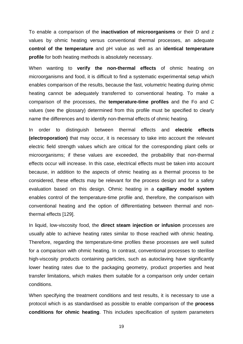To enable a comparison of the **inactivation of microorganisms** or their D and z values by ohmic heating versus conventional thermal processes, an adequate **control of the temperature** and pH value as well as an **identical temperature profile** for both heating methods is absolutely necessary.

When wanting to **verify the non-thermal effects** of ohmic heating on microorganisms and food, it is difficult to find a systematic experimental setup which enables comparison of the results, because the fast, volumetric heating during ohmic heating cannot be adequately transferred to conventional heating. To make a comparison of the processes, the **temperature-time profiles** and the Fo and C values (see the glossary) determined from this profile must be specified to clearly name the differences and to identify non-thermal effects of ohmic heating.

In order to distinguish between thermal effects and **electric effects (electroporation)** that may occur, it is necessary to take into account the relevant electric field strength values which are critical for the corresponding plant cells or microorganisms; if these values are exceeded, the probability that non-thermal effects occur will increase. In this case, electrical effects must be taken into account because, in addition to the aspects of ohmic heating as a thermal process to be considered, these effects may be relevant for the process design and for a safety evaluation based on this design. Ohmic heating in a **capillary model system** enables control of the temperature-time profile and, therefore, the comparison with conventional heating and the option of differentiating between thermal and nonthermal effects [\[129\]](#page-32-12).

In liquid, low-viscosity food, the **direct steam injection or infusion** processes are usually able to achieve heating rates similar to those reached with ohmic heating. Therefore, regarding the temperature-time profiles these processes are well suited for a comparison with ohmic heating. In contrast, conventional processes to sterilise high-viscosity products containing particles, such as autoclaving have significantly lower heating rates due to the packaging geometry, product properties and heat transfer limitations, which makes them suitable for a comparison only under certain conditions.

When specifying the treatment conditions and test results, it is necessary to use a protocol which is as standardised as possible to enable comparison of the **process conditions for ohmic heating**. This includes specification of system parameters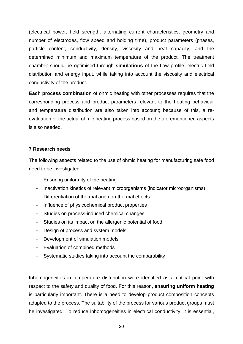(electrical power, field strength, alternating current characteristics, geometry and number of electrodes, flow speed and holding time), product parameters (phases, particle content, conductivity, density, viscosity and heat capacity) and the determined minimum and maximum temperature of the product. The treatment chamber should be optimised through **simulations** of the flow profile, electric field distribution and energy input, while taking into account the viscosity and electrical conductivity of the product.

**Each process combination** of ohmic heating with other processes requires that the corresponding process and product parameters relevant to the heating behaviour and temperature distribution are also taken into account; because of this, a reevaluation of the actual ohmic heating process based on the aforementioned aspects is also needed.

## **7 Research needs**

The following aspects related to the use of ohmic heating for manufacturing safe food need to be investigated:

- Ensuring uniformity of the heating
- Inactivation kinetics of relevant microorganisms (indicator microorganisms)
- Differentiation of thermal and non-thermal effects
- Influence of physicochemical product properties
- Studies on process-induced chemical changes
- Studies on its impact on the allergenic potential of food
- Design of process and system models
- Development of simulation models
- Evaluation of combined methods
- Systematic studies taking into account the comparability

Inhomogeneities in temperature distribution were identified as a critical point with respect to the safety and quality of food. For this reason, **ensuring uniform heating** is particularly important. There is a need to develop product composition concepts adapted to the process. The suitability of the process for various product groups must be investigated. To reduce inhomogeneities in electrical conductivity, it is essential,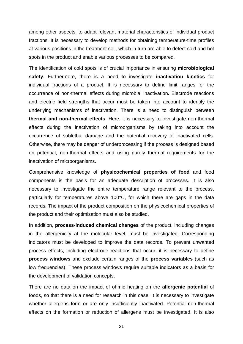among other aspects, to adapt relevant material characteristics of individual product fractions. It is necessary to develop methods for obtaining temperature-time profiles at various positions in the treatment cell, which in turn are able to detect cold and hot spots in the product and enable various processes to be compared.

The identification of cold spots is of crucial importance in ensuring **microbiological safety**. Furthermore, there is a need to investigate **inactivation kinetics** for individual fractions of a product. It is necessary to define limit ranges for the occurrence of non-thermal effects during microbial inactivation**.** Electrode reactions and electric field strengths that occur must be taken into account to identify the underlying mechanisms of inactivation. There is a need to distinguish between **thermal and non-thermal effects**. Here, it is necessary to investigate non-thermal effects during the inactivation of microorganisms by taking into account the occurrence of sublethal damage and the potential recovery of inactivated cells. Otherwise, there may be danger of underprocessing if the process is designed based on potential, non-thermal effects and using purely thermal requirements for the inactivation of microorganisms.

Comprehensive knowledge of **physicochemical properties of food** and food components is the basis for an adequate description of processes. It is also necessary to investigate the entire temperature range relevant to the process, particularly for temperatures above 100°C, for which there are gaps in the data records. The impact of the product composition on the physicochemical properties of the product and their optimisation must also be studied.

In addition, **process-induced chemical changes** of the product, including changes in the allergenicity at the molecular level, must be investigated. Corresponding indicators must be developed to improve the data records. To prevent unwanted process effects, including electrode reactions that occur, it is necessary to define **process windows** and exclude certain ranges of the **process variables** (such as low frequencies). These process windows require suitable indicators as a basis for the development of validation concepts.

There are no data on the impact of ohmic heating on the **allergenic potential** of foods, so that there is a need for research in this case. It is necessary to investigate whether allergens form or are only insufficiently inactivated. Potential non-thermal effects on the formation or reduction of allergens must be investigated. It is also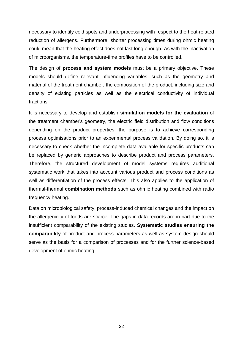necessary to identify cold spots and underprocessing with respect to the heat-related reduction of allergens. Furthermore, shorter processing times during ohmic heating could mean that the heating effect does not last long enough. As with the inactivation of microorganisms, the temperature-time profiles have to be controlled.

The design of **process and system models** must be a primary objective. These models should define relevant influencing variables, such as the geometry and material of the treatment chamber, the composition of the product, including size and density of existing particles as well as the electrical conductivity of individual fractions.

It is necessary to develop and establish **simulation models for the evaluation** of the treatment chamber's geometry, the electric field distribution and flow conditions depending on the product properties; the purpose is to achieve corresponding process optimisations prior to an experimental process validation. By doing so, it is necessary to check whether the incomplete data available for specific products can be replaced by generic approaches to describe product and process parameters. Therefore, the structured development of model systems requires additional systematic work that takes into account various product and process conditions as well as differentiation of the process effects. This also applies to the application of thermal-thermal **combination methods** such as ohmic heating combined with radio frequency heating.

Data on microbiological safety, process-induced chemical changes and the impact on the allergenicity of foods are scarce. The gaps in data records are in part due to the insufficient comparability of the existing studies. **Systematic studies ensuring the comparability** of product and process parameters as well as system design should serve as the basis for a comparison of processes and for the further science-based development of ohmic heating.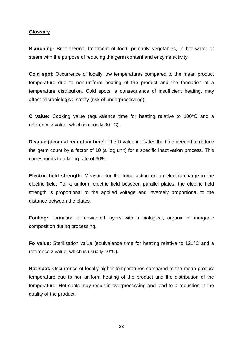#### **Glossary**

**Blanching:** Brief thermal treatment of food, primarily vegetables, in hot water or steam with the purpose of reducing the germ content and enzyme activity.

**Cold spot**: Occurrence of locally low temperatures compared to the mean product temperature due to non-uniform heating of the product and the formation of a temperature distribution. Cold spots, a consequence of insufficient heating, may affect microbiological safety (risk of underprocessing).

**C value:** Cooking value (equivalence time for heating relative to 100°C and a reference z value, which is usually 30 °C).

**D value (decimal reduction time):** The D value indicates the time needed to reduce the germ count by a factor of 10 (a log unit) for a specific inactivation process. This corresponds to a killing rate of 90%.

**Electric field strength:** Measure for the force acting on an electric charge in the electric field. For a uniform electric field between parallel plates, the electric field strength is proportional to the applied voltage and inversely proportional to the distance between the plates.

**Fouling:** Formation of unwanted layers with a biological, organic or inorganic composition during processing.

**Fo value:** Sterilisation value (equivalence time for heating relative to 121°C and a reference z value, which is usually 10°C).

**Hot spot:** Occurrence of locally higher temperatures compared to the mean product temperature due to non-uniform heating of the product and the distribution of the temperature. Hot spots may result in overprocessing and lead to a reduction in the quality of the product.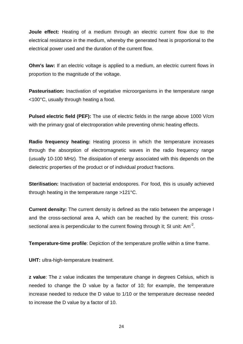**Joule effect:** Heating of a medium through an electric current flow due to the electrical resistance in the medium, whereby the generated heat is proportional to the electrical power used and the duration of the current flow.

**Ohm's law:** If an electric voltage is applied to a medium, an electric current flows in proportion to the magnitude of the voltage.

**Pasteurisation:** Inactivation of vegetative microorganisms in the temperature range <100°C, usually through heating a food.

**Pulsed electric field (PEF):** The use of electric fields in the range above 1000 V/cm with the primary goal of electroporation while preventing ohmic heating effects.

**Radio frequency heating:** Heating process in which the temperature increases through the absorption of electromagnetic waves in the radio frequency range (usually 10-100 MHz). The dissipation of energy associated with this depends on the dielectric properties of the product or of individual product fractions.

**Sterilisation:** Inactivation of bacterial endospores. For food, this is usually achieved through heating in the temperature range >121°C.

**Current density:** The current density is defined as the ratio between the amperage I and the cross-sectional area A, which can be reached by the current; this crosssectional area is perpendicular to the current flowing through it; SI unit: Am<sup>-2</sup>.

**Temperature-time profile**: Depiction of the temperature profile within a time frame.

**UHT:** ultra-high-temperature treatment.

**z value**: The z value indicates the temperature change in degrees Celsius, which is needed to change the D value by a factor of 10; for example, the temperature increase needed to reduce the D value to 1/10 or the temperature decrease needed to increase the D value by a factor of 10.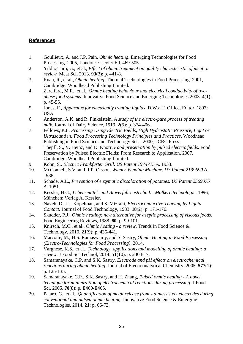## **References**

- <span id="page-26-0"></span>1. Goullieux, A. and J.P. Pain, *Ohmic heating*. Emerging Technologies for Food Processing. 2005, London: Elsevier Ed. 469-505.
- 2. Yildiz-Turp, G., et al., *Effect of ohmic treatment on quality characteristic of meat: a review.* Meat Sci, 2013. **93**(3): p. 441-8.
- <span id="page-26-12"></span>3. Ruan, R., et al., *Ohmic heating*. Thermal Technologies in Food Processing. 2001, Cambridge: Woodhead Publishing Limited.
- <span id="page-26-14"></span>4. Zareifard, M.R., et al., *Ohmic heating behaviour and electrical conductivity of twophase food systems.* Innovative Food Science and Emerging Technologies 2003. **4**(1): p. 45-55.
- <span id="page-26-1"></span>5. Jones, F., *Apparatus for electrically treating liquids*, D.W.a.T. Office, Editor. 1897: USA.
- <span id="page-26-2"></span>6. Anderson, A.K. and R. Finkelstein, *A study of the electro-pure process of treating milk.* Journal of Dairy Science, 1919. **2**(5): p. 374-406.
- 7. Fellows, P.J., *Processing Using Electric Fields, High Hydrostatic Pressure, Light or Ultrasound in: Food Processing Technology Principles and Practices*. Woodhead Publishing in Food Science and Technology Ser. . 2000, : CRC Press.
- 8. Toepfl, S., V. Heinz, and D. Knorr, *Food preservation by pulsed electric fields*. Food Preservation by Pulsed Electric Fields: From Research to Application. 2007, Cambridge: Woodhead Publishing Limited.
- <span id="page-26-3"></span>9. Kohn, S., *Electric Frankfurter Grill. US Patent 1974715 A.* 1933.
- <span id="page-26-4"></span>10. McConnell, S.V. and R.P. Oisson, *Wiener Vending Machine. US Patent 2139690 A.* 1938.
- <span id="page-26-5"></span>11. Schade, A.L., *Prevention of enzymatic discoloration of potatoes. US Patent 2569075 A.* 1951.
- <span id="page-26-6"></span>12. Kessler, H.G., *Lebensmittel- und Bioverfahrenstechnik - Molkereitechnologie*. 1996, München: Verlag A. Kessler.
- <span id="page-26-7"></span>13. Naveh, D., I.J. Kopelman, and S. Mizrahi, *Electroconductive Thawing by Liquid Contact.* Journal of Food Technology, 1983. **18**(2): p. 171-176.
- <span id="page-26-8"></span>14. Skudder, P.J., *Ohmic heating: new alternative for aseptic processing of viscous foods.* Food Engineering Reviews, 1988. **60**: p. 99-101.
- <span id="page-26-9"></span>15. Knirsch, M.C., et al., *Ohmic heating - a review.* Trends in Food Science & Technology, 2010. **21**(9): p. 436-441.
- <span id="page-26-10"></span>16. Marcotte, M., H.S. Ramaswamy, and S. Sastry, *Ohmic Heating in Food Processing (Electro-Technologies for Food Processing)*. 2014.
- <span id="page-26-11"></span>17. Varghese, K.S., et al., *Technology, applications and modelling of ohmic heating: a review.* J Food Sci Technol, 2014. **51**(10): p. 2304-17.
- <span id="page-26-13"></span>18. Samaranayake, C.P. and S.K. Sastry, *Electrode and pH effects on electrochemical reactions during ohmic heating.* Journal of Electroanalytical Chemistry, 2005. **577**(1): p. 125-135.
- 19. Samaranayake, C.P., S.K. Sastry, and H. Zhang, *Pulsed ohmic heating - A novel technique for minimization of electrochemical reactions during processing.* J Food Sci, 2005. **70**(8): p. E460-E465.
- 20. Pataro, G., et al., *Quantification of metal release from stainless steel electrodes during conventional and pulsed ohmic heating.* Innovative Food Science & Emerging Technologies, 2014. **21**: p. 66-73.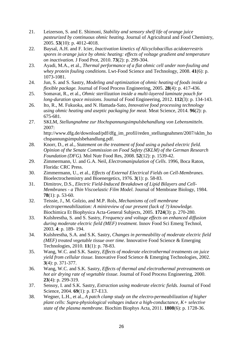- <span id="page-27-0"></span>21. Leizerson, S. and E. Shimoni, *Stability and sensory shelf life of orange juice pasteurized by continuous ohmic heating.* Journal of Agricultural and Food Chemistry, 2005. **53**(10): p. 4012-4018.
- <span id="page-27-1"></span>22. Baysal, A.H. and F. Icier, *Inactivation kinetics of Alicyclobacillus acidoterrestris spores in orange juice by ohmic heating: effects of voltage gradient and temperature on inactivation.* J Food Prot, 2010. **73**(2): p. 299-304.
- <span id="page-27-2"></span>23. Ayadi, M.A., et al., *Thermal performance of a flat ohmic cell under non-fouling and whey protein fouling conditions.* Lwt-Food Science and Technology, 2008. **41**(6): p. 1073-1081.
- <span id="page-27-3"></span>24. Jun, S. and S. Sastry, *Modeling and optimization of ohmic heating of foods inside a flexible package.* Journal of Food Process Engineering, 2005. **28**(4): p. 417-436.
- 25. Somavat, R., et al., *Ohmic sterilization inside a multi-layered laminate pouch for long-duration space missions.* Journal of Food Engineering, 2012. **112**(3): p. 134-143.
- 26. Ito, R., M. Fukuoka, and N. Hamada-Sato, *Innovative food processing technology using ohmic heating and aseptic packaging for meat.* Meat Science, 2014. **96**(2): p. 675-681.
- <span id="page-27-4"></span>27. SKLM, *Stellungnahme zur Hochspannungsimpulsbehandlung von Lebensmitteln*. 2007: http://www.dfg.de/download/pdf/dfg\_im\_profil/reden\_stellungnahmen/2007/sklm\_ho chspannungsimpulsbehandlung.pdf.
- <span id="page-27-5"></span>28. Knorr, D., et al., *Statement on the treatment of food using a pulsed electric field. Opinion of the Senate Commission on Food Safety (SKLM) of the German Research Foundation (DFG).* Mol Nutr Food Res, 2008. **52**(12): p. 1539-42.
- <span id="page-27-6"></span>29. Zimmermann, U. and G.A. Neil, *Electromanipulation of Cells*. 1996, Boca Raton, Florida: CRC Press.
- 30. Zimmermann, U., et al., *Effects of External Electrical Fields on Cell-Membranes.* Bioelectrochemistry and Bioenergetics, 1976. **3**(1): p. 58-83.
- 31. Dimitrov, D.S., *Electric Field-Induced Breakdown of Lipid Bilayers and Cell-Membranes - a Thin Viscoelastic Film Model.* Journal of Membrane Biology, 1984. **78**(1): p. 53-60.
- 32. Teissie, J., M. Golzio, and M.P. Rols, *Mechanisms of cell membrane electropermeabilization: A minireview of our present (lack of ?) knowledge.* Biochimica Et Biophysica Acta-General Subjects, 2005. **1724**(3): p. 270-280.
- <span id="page-27-7"></span>33. Kulshrestha, S. and S. Sastry, *Frequency and voltage effects on enhanced diffusion during moderate electric field (MEF) treatment.* Innov Food Sci Emerg Technol, 2003. **4**: p. 189- 194.
- 34. Kulshrestha, S.A. and S.K. Sastry, *Changes in permeability of moderate electric field (MEF) treated vegetable tissue over time.* Innovative Food Science & Emerging Technologies, 2010. **11**(1): p. 78-83.
- 35. Wang, W.C. and S.K. Sastry, *Effects of moderate electrothermal treatments on juice yield from cellular tissue.* Innovative Food Science & Emerging Technologies, 2002. **3**(4): p. 371-377.
- 36. Wang, W.C. and S.K. Sastry, *Effects of thermal and electrothermal pretreatments on hot air drying rate of vegetable tissue.* Journal of Food Process Engineering, 2000. **23**(4): p. 299-319.
- 37. Sensoy, I. and S.K. Sastry, *Extraction using moderate electric fields.* Journal of Food Science, 2004. **69**(1): p. E7-E13.
- 38. Wegner, L.H., et al., *A patch clamp study on the electro-permeabilization of higher plant cells: Supra-physiological voltages induce a high-conductance, K+ selective state of the plasma membrane.* Biochim Biophys Acta, 2011. **1808**(6): p. 1728-36.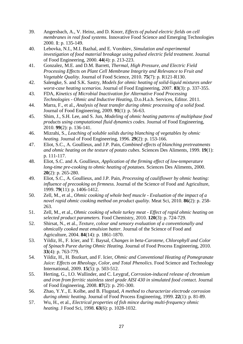- 39. Angersbach, A., V. Heinz, and D. Knorr, *Effects of pulsed electric fields on cell membranes in real food systems.* Innovative Food Science and Emerging Technologies 2000. **1**: p. 135-149.
- 40. Lebovka, N.I., M.I. Bazhal, and E. Vorobiev, *Simulation and experimental investigation of food material breakage using pulsed electric field treatment.* Journal of Food Engineering, 2000. **44**(4): p. 213-223.
- <span id="page-28-0"></span>41. Gonzalez, M.E. and D.M. Barrett, *Thermal, High Pressure, and Electric Field Processing Effects on Plant Cell Membrane Integrity and Relevance to Fruit and Vegetable Quality.* Journal of Food Science, 2010. **75**(7): p. R121-R130.
- <span id="page-28-1"></span>42. Salengke, S. and S.K. Sastry, *Models for ohmic heating of solid-liquid mixtures under worst-case heating scenarios.* Journal of Food Engineering, 2007. **83**(3): p. 337-355.
- <span id="page-28-2"></span>43. FDA, *Kinetics of Microbial Inactivation for Alternative Food Processing Technologies - Ohmic and Inductive Heating*, D.o.H.a.h. Services, Editor. 2011.
- <span id="page-28-3"></span>44. Marra, F., et al., *Analysis of heat transfer during ohmic processing of a solid food.* Journal of Food Engineering, 2009. **91**(1): p. 56-63.
- <span id="page-28-4"></span>45. Shim, J., S.H. Lee, and S. Jun, *Modeling of ohmic heating patterns of multiphase food products using computational fluid dynamics codes.* Journal of Food Engineering, 2010. **99**(2): p. 136-141.
- <span id="page-28-5"></span>46. Mizrahi, S., *Leaching of soluble solids during blanching of vegetables by ohmic heating.* Journal of Food Engineering, 1996. **29**(2): p. 153-166.
- <span id="page-28-8"></span>47. Eliot, S.C., A. Goullieux, and J.P. Pain, *Combined effects of blanching pretreatments and ohmic heating on the texture of potato cubes.* Sciences Des Aliments, 1999. **19**(1): p. 111-117.
- <span id="page-28-7"></span>48. Eliot, S.C. and A. Goullieux, *Application of the firming effect of low-temperature long-time pre-cooking to ohmic heating of potatoes.* Sciences Des Aliments, 2000. **20**(2): p. 265-280.
- <span id="page-28-9"></span>49. Eliot, S.C., A. Goullieux, and J.P. Pain, *Processing of cauliflower by ohmic heating: influence of precooking on firmness.* Journal of the Science of Food and Agriculture, 1999. **79**(11): p. 1406-1412.
- <span id="page-28-13"></span>50. Zell, M., et al., *Ohmic cooking of whole beef muscle - Evaluation of the impact of a novel rapid ohmic cooking method on product quality.* Meat Sci, 2010. **86**(2): p. 258- 263.
- <span id="page-28-14"></span>51. Zell, M., et al., *Ohmic cooking of whole turkey meat - Effect of rapid ohmic heating on selected product parameters.* Food Chemistry, 2010. **120**(3): p. 724-729.
- <span id="page-28-12"></span>52. Shirsat, N., et al., *Texture, colour and sensory evaluation of a conventionally and ohmically cooked meat emulsion batter.* Journal of the Science of Food and Agriculture, 2004. **84**(14): p. 1861-1870.
- <span id="page-28-10"></span>53. Yildiz, H., F. Icier, and T. Baysal, *Changes in beta-Carotene, Chlorophyll and Color of Spinach Puree during Ohmic Heating.* Journal of Food Process Engineering, 2010. **33**(4): p. 763-779.
- <span id="page-28-11"></span>54. Yildiz, H., H. Bozkurt, and F. Icier, *Ohmic and Conventional Heating of Pomegranate Juice: Effects on Rheology, Color, and Total Phenolics.* Food Science and Technology International, 2009. **15**(5): p. 503-512.
- <span id="page-28-6"></span>55. Herting, G., I.O. Wallinder, and C. Leygraf, *Corrosion-induced release of chromium and iron from ferritic stainless steel grade AISI 430 in simulated food contact.* Journal of Food Engineering, 2008. **87**(2): p. 291-300.
- 56. Zhao, Y.Y., E. Kolbe, and B. Flugstad, *A method to characterize electrode corrosion during ohmic heating.* Journal of Food Process Engineering, 1999. **22**(1): p. 81-89.
- 57. Wu, H., et al., *Electrical properties of fish mince during multi-frequency ohmic heating.* J Food Sci, 1998. **63**(6): p. 1028-1032.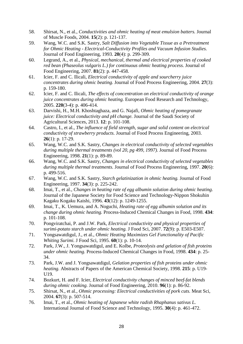- <span id="page-29-0"></span>58. Shirsat, N., et al., *Conductivities and ohmic heating of meat emulsion batters.* Journal of Muscle Foods, 2004. **15**(2): p. 121-137.
- <span id="page-29-1"></span>59. Wang, W.C. and S.K. Sastry, *Salt Diffusion into Vegetable Tissue as a Pretreatment for Ohmic Heating - Electrical-Conductivity Profiles and Vacuum Infusion Studies.* Journal of Food Engineering, 1993. **20**(4): p. 299-309.
- <span id="page-29-2"></span>60. Legrand, A., et al., *Physical, mechanical, thermal and electrical properties of cooked red bean (Phaseolus vulgaris L.) for continuous ohmic heating process.* Journal of Food Engineering, 2007. **81**(2): p. 447-458.
- <span id="page-29-11"></span>61. Icier, F. and C. Ilicali, *Electrical conductivity of apple and sourcherry juice concentrates during ohmic beating.* Journal of Food Process Engineering, 2004. **27**(3): p. 159-180.
- <span id="page-29-12"></span>62. Icier, F. and C. Ilicali, *The effects of concentration on electrical conductivity of orange juice concentrates during ohmic heating.* European Food Research and Technology, 2005. **220**(3-4): p. 406-414.
- <span id="page-29-13"></span>63. Darvishi, H., M.H. Khoshtaghaza, and G. Najafi, *Ohmic heating of pomegranate juice: Electrical conductivity and pH change.* Journal of the Saudi Society of Agricultural Sciences, 2013. **12**: p. 101-108.
- <span id="page-29-14"></span>64. Castro, I., et al., *The influence of field strength, sugar and solid content on electrical conductivity of strawberry products.* Journal of Food Process Engineering, 2003. **26**(1): p. 17-29.
- 65. Wang, W.C. and S.K. Sastry, *Changes in electrical conductivity of selected vegetables during multiple thermal treatments (vol 20, pg 499, 1997).* Journal of Food Process Engineering, 1998. **21**(1): p. 89-89.
- 66. Wang, W.C. and S.K. Sastry, *Changes in electrical conductivity of selected vegetables during multiple thermal treatments.* Journal of Food Process Engineering, 1997. **20**(6): p. 499-516.
- <span id="page-29-3"></span>67. Wang, W.C. and S.K. Sastry, *Starch gelatinization in ohmic heating.* Journal of Food Engineering, 1997. **34**(3): p. 225-242.
- <span id="page-29-4"></span>68. Imai, T., et al., *Changes in heating rate of egg albumin solution during ohmic heating.* Journal of the Japanese Society for Food Science and Technology-Nippon Shokuhin Kagaku Kogaku Kaishi, 1996. **43**(12): p. 1249-1255.
- <span id="page-29-5"></span>69. Imai, T., K. Uemura, and A. Noguchi, *Heating rate of egg albumin solution and its change during ohmic heating.* Process-Induced Chemical Changes in Food, 1998. **434**: p. 101-108.
- <span id="page-29-6"></span>70. Pongviratchai, P. and J.W. Park, *Electrical conductivity and physical properties of surimi-potato starch under ohmic heating.* J Food Sci, 2007. **72**(9): p. E503-E507.
- <span id="page-29-7"></span>71. Yongsawatdigul, J., et al., *Ohmic Heating Maximizes Gel Functionality of Pacific Whiting Surimi.* J Food Sci, 1995. **60**(1): p. 10-14.
- 72. Park, J.W., J. Yongsawatdigul, and E. Kolbe, *Proteolysis and gelation of fish proteins under ohmic heating.* Process-Induced Chemical Changes in Food, 1998. **434**: p. 25- 34.
- 73. Park, J.W. and J. Yongsawatdigul, *Gelation properties of fish proteins under ohmic heating.* Abstracts of Papers of the American Chemical Society, 1998. **215**: p. U19- U19.
- <span id="page-29-8"></span>74. Bozkurt, H. and F. Icier, *Electrical conductivity changes of minced beef-fat blends during ohmic cooking.* Journal of Food Engineering, 2010. **96**(1): p. 86-92.
- <span id="page-29-9"></span>75. Shirsat, N., et al., *Ohmic processing: Electrical conductivities of pork cuts.* Meat Sci, 2004. **67**(3): p. 507-514.
- <span id="page-29-10"></span>76. Imai, T., et al., *Ohmic heating of Japanese white radish Rhaphanus sativus L.* International Journal of Food Science and Technology, 1995. **30**(4): p. 461-472.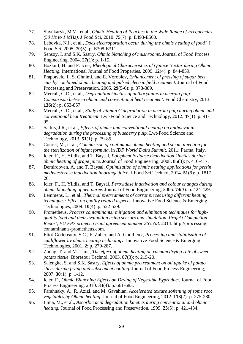- <span id="page-30-0"></span>77. Shynkaryk, M.V., et al., *Ohmic Heating of Peaches in the Wide Range of Frequencies (50 Hz to 1 MHz).* J Food Sci, 2010. **75**(7): p. E493-E500.
- <span id="page-30-1"></span>78. Lebovka, N.I., et al., *Does electroporation occur during the ohmic heating of food?* J Food Sci, 2005. **70**(5): p. E308-E311.
- <span id="page-30-2"></span>79. Sensoy, I. and S.K. Sastry, *Ohmic blanching of mushrooms.* Journal of Food Process Engineering, 2004. **27**(1): p. 1-15.
- <span id="page-30-3"></span>80. Bozkurt, H. and F. Icier, *Rheological Characteristics of Quince Nectar during Ohmic Heating.* International Journal of Food Properties, 2009. **12**(4): p. 844-859.
- <span id="page-30-4"></span>81. Praporscic, I., S. Ghnimi, and E. Vorobiev, *Enhancement of pressing of sugar beet cuts by combined ohmic heating and pulsed electric field treatment.* Journal of Food Processing and Preservation, 2005. **29**(5-6): p. 378-389.
- <span id="page-30-5"></span>82. Mercali, G.D., et al., *Degradation kinetics of anthocyanins in acerola pulp: Comparison between ohmic and conventional heat treatment.* Food Chemistry, 2013. **136**(2): p. 853-857.
- <span id="page-30-6"></span>83. Mercali, G.D., et al., *Study of vitamin C degradation in acerola pulp during ohmic and conventional heat treatment.* Lwt-Food Science and Technology, 2012. **47**(1): p. 91- 95.
- <span id="page-30-7"></span>84. Sarkis, J.R., et al., *Effects of ohmic and conventional heating on anthocyanin degradation during the processing of blueberry pulp.* Lwt-Food Science and Technology, 2013. **51**(1): p. 79-85.
- <span id="page-30-8"></span>85. Courel, M., et al., *Comparison of continuous ohmic heating and steam injection for the sterilization of infant formula*, in *IDF World Dairs Summit*. 2011: Parma, Italy.
- <span id="page-30-9"></span>86. Icier, F., H. Yildiz, and T. Baysal, *Polyphenoloxidase deactivation kinetics during ohmic heating of grape juice.* Journal of Food Engineering, 2008. **85**(3): p. 410-417.
- <span id="page-30-10"></span>87. Demirdoven, A. and T. Baysal, *Optimization of ohmic heating applications for pectin methylesterase inactivation in orange juice.* J Food Sci Technol, 2014. **51**(9): p. 1817- 26.
- <span id="page-30-11"></span>88. Icier, F., H. Yildiz, and T. Baysal, *Peroxidase inactivation and colour changes during ohmic blanching of pea puree.* Journal of Food Engineering, 2006. **74**(3): p. 424-429.
- <span id="page-30-12"></span>89. Lemmens, L., et al., *Thermal pretreatments of carrot pieces using different heating techniques: Effect on quality related aspects.* Innovative Food Science & Emerging Technologies, 2009. **10**(4): p. 522-529.
- <span id="page-30-13"></span>90. Prometheus, *Process contaminants: mitigation and elimination techniques for highquality food and their evaluation using sensors and simulation, Projekt Completion Report, EU FP7 project, Grant agreement number 265558*. 2014: http://processingcontaminants-prometheus.com.
- <span id="page-30-14"></span>91. Eliot-Godereaux, S.C., F. Zuber, and A. Goullieux, *Processing and stabilisation of cauliflower by ohmic heating technology.* Innovative Food Science & Emerging Technologies, 2001. **2**: p. 279-287.
- <span id="page-30-15"></span>92. Zhong, T. and M. Lima, *The effect of ohmic heating on vacuum drying rate of sweet potato tissue.* Bioresour Technol, 2003. **87**(3): p. 215-20.
- <span id="page-30-16"></span>93. Salengke, S. and S.K. Sastry, *Effects of ohmic pretreatment on oil uptake of potato slices during frying and subsequent cooling.* Journal of Food Process Engineering, 2007. **30**(1): p. 1-12.
- <span id="page-30-17"></span>94. Icier, F., *Ohmic Blanching Effects on Drying of Vegetable Byproduct.* Journal of Food Process Engineering, 2010. **33**(4): p. 661-683.
- <span id="page-30-18"></span>95. Farahnaky, A., R. Azizi, and M. Gavahian, *Accelerated texture softening of some root vegetables by Ohmic heating.* Journal of Food Engineering, 2012. **113**(2): p. 275-280.
- <span id="page-30-19"></span>96. Lima, M., et al., *Ascorbic acid degradation kinetics during conventional and ohmic heating.* Journal of Food Processing and Preservation, 1999. **23**(5): p. 421-434.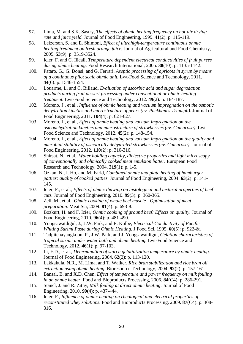- <span id="page-31-0"></span>97. Lima, M. and S.K. Sastry, *The effects of ohmic heating frequency on hot-air drying rate and juice yield.* Journal of Food Engineering, 1999. **41**(2): p. 115-119.
- <span id="page-31-1"></span>98. Leizerson, S. and E. Shimoni, *Effect of ultrahigh-temperature continuous ohmic heating treatment on fresh orange juice.* Journal of Agricultural and Food Chemistry, 2005. **53**(9): p. 3519-3524.
- <span id="page-31-2"></span>99. Icier, F. and C. Ilicali, *Temperature dependent electrical conductivities of fruit purees during ohmic heating.* Food Research International, 2005. **38**(10): p. 1135-1142.
- <span id="page-31-3"></span>100. Pataro, G., G. Donsi, and G. Ferrari, *Aseptic processing of apricots in syrup by means of a continuous pilot scale ohmic unit.* Lwt-Food Science and Technology, 2011. **44**(6): p. 1546-1554.
- <span id="page-31-4"></span>101. Louarme, L. and C. Billaud, *Evaluation of ascorbic acid and sugar degradation products during fruit dessert processing under conventional or ohmic heating treatment.* Lwt-Food Science and Technology, 2012. **49**(2): p. 184-187.
- <span id="page-31-5"></span>102. Moreno, J., et al., *Influence of ohmic heating and vacuum impregnation on the osmotic dehydration kinetics and microstructure of pears (cv. Packham's Triumph).* Journal of Food Engineering, 2011. **104**(4): p. 621-627.
- <span id="page-31-6"></span>103. Moreno, J., et al., *Effect of ohmic heating and vacuum impregnation on the osmodehydration kinetics and microstructure of strawberries (cv. Camarosa).* Lwt-Food Science and Technology, 2012. **45**(2): p. 148-154.
- <span id="page-31-7"></span>104. Moreno, J., et al., *Effect of ohmic heating and vacuum impregnation on the quality and microbial stability of osmotically dehydrated strawberries (cv. Camarosa).* Journal of Food Engineering, 2012. **110**(2): p. 310-316.
- <span id="page-31-8"></span>105. Shirsat, N., et al., *Water holding capacity, dielectric properties and light microscopy of conventionally and ohmically cooked meat emulsion batter.* European Food Research and Technology, 2004. **219**(1): p. 1-5.
- <span id="page-31-9"></span>106. Ozkan, N., I. Ho, and M. Farid, *Combined ohmic and plate heating of hamburger patties: quality of cooked patties.* Journal of Food Engineering, 2004. **63**(2): p. 141- 145.
- <span id="page-31-10"></span>107. Icier, F., et al., *Effects of ohmic thawing on histological and textural properties of beef cuts.* Journal of Food Engineering, 2010. **99**(3): p. 360-365.
- <span id="page-31-11"></span>108. Zell, M., et al., *Ohmic cooking of whole beef muscle - Optimisation of meat preparation.* Meat Sci, 2009. **81**(4): p. 693-8.
- <span id="page-31-12"></span>109. Bozkurt, H. and F. Icier, *Ohmic cooking of ground beef: Effects on quality.* Journal of Food Engineering, 2010. **96**(4): p. 481-490.
- <span id="page-31-13"></span>110. Yongsawatdigul, J., J.W. Park, and E. Kolbe, *Electrical-Conductivity of Pacific Whiting Surimi Paste during Ohmic Heating.* J Food Sci, 1995. **60**(5): p. 922-&.
- <span id="page-31-14"></span>111. Tadpitchayangkoon, P., J.W. Park, and J. Yongsawatdigul, *Gelation characteristics of tropical surimi under water bath and ohmic heating.* Lwt-Food Science and Technology, 2012. **46**(1): p. 97-103.
- <span id="page-31-15"></span>112. Li, F.D., et al., *Determination of starch gelatinization temperature by ohmic heating.* Journal of Food Engineering, 2004. **62**(2): p. 113-120.
- <span id="page-31-16"></span>113. Lakkakula, N.R., M. Lima, and T. Walker, *Rice bran stabilization and rice bran oil extraction using ohmic heating.* Bioresource Technology, 2004. **92**(2): p. 157-161.
- <span id="page-31-17"></span>114. Bansal, B. and X.D. Chen, *Effect of temperature and power frequency on milk fouling in an ohmic heater.* Food and Bioproducts Processing, 2006. **84**(C4): p. 286-291.
- <span id="page-31-18"></span>115. Stancl, J. and R. Zitny, *Milk fouling at direct ohmic heating.* Journal of Food Engineering, 2010. **99**(4): p. 437-444.
- <span id="page-31-19"></span>116. Icier, F., *Influence of ohmic heating on rheological and electrical properties of reconstituted whey solutions.* Food and Bioproducts Processing, 2009. **87**(C4): p. 308- 316.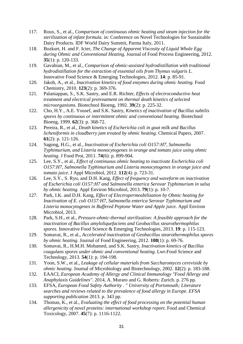- <span id="page-32-0"></span>117. Roux, S., et al., *Comparison of continuous ohmic heating and steam injection for the sterilization of infant formula.* in: Conference on Novel Technologies for Sustainable Dairy Products. IDF World Dairy Summit, Parma Italy, 2011.
- <span id="page-32-1"></span>118. Bozkurt, H. and F. Icier, *The Change of Apparent Viscosity of Liquid Whole Egg during Ohmic and Conventional Heating.* Journal of Food Process Engineering, 2012. **35**(1): p. 120-133.
- <span id="page-32-2"></span>119. Gavahian, M., et al., *Comparison of ohmic-assisted hydrodistillation with traditional hydrodistillation for the extraction of essential oils from Thymus vulgaris L.* Innovative Food Science & Emerging Technologies, 2012. **14**: p. 85-91.
- <span id="page-32-3"></span>120. Jakob, A., et al., *Inactivation kinetics of food enzymes during ohmic heating.* Food Chemistry, 2010. **123**(2): p. 369-376.
- <span id="page-32-4"></span>121. Palaniappan, S., S.K. Sastry, and E.R. Richter, *Effects of electroconductive heat treatment and electrical pretreatment on thermal death kinetics of selected microorganisms.* Biotechnol Bioeng, 1992. **39**(2): p. 225-32.
- <span id="page-32-5"></span>122. Cho, H.Y., A.E. Yousef, and S.K. Sastry, *Kinetics of inactivation of Bacillus subtilis spores by continuous or intermittent ohmic and conventional heating.* Biotechnol Bioeng, 1999. **62**(3): p. 368-72.
- <span id="page-32-6"></span>123. Pereira, R., et al., *Death kinetics of Escherichia coli in goat milk and Bacillus licheniformis in cloudberry jam treated by ohmic heating.* Chemical Papers, 2007. **61**(2): p. 121-126.
- <span id="page-32-7"></span>124. Sagong, H.G., et al., *Inactivation of Escherichia coli O157:H7, Salmonella Typhimurium, and Listeria monocytogenes in orange and tomato juice using ohmic heating.* J Food Prot, 2011. **74**(6): p. 899-904.
- <span id="page-32-8"></span>125. Lee, S.Y., et al., *Effect of continuous ohmic heating to inactivate Escherichia coli O157:H7, Salmonella Typhimurium and Listeria monocytogenes in orange juice and tomato juice.* J Appl Microbiol, 2012. **112**(4): p. 723-31.
- <span id="page-32-9"></span>126. Lee, S.Y., S. Ryu, and D.H. Kang, *Effect of frequency and waveform on inactivation of Escherichia coli O157:H7 and Salmonella enterica Serovar Typhimurium in salsa by ohmic heating.* Appl Environ Microbiol, 2013. **79**(1): p. 10-7.
- <span id="page-32-10"></span>127. Park, I.K. and D.H. Kang, *Effect of Electropermeabilization by Ohmic heating for Inactivation of E. coli O157:H7, Salmonella enterica Serovar Typhimurium and Listeria monocytogenes in Buffered Peptone Water and Apple juice.* Appl Environ Microbiol, 2013.
- <span id="page-32-11"></span>128. Park, S.H., et al., *Pressure-ohmic-thermal sterilization: A feasible approach for the inactivation of Bacillus amyloliquefaciens and Geobacillus stearothermophilus spores.* Innovative Food Science & Emerging Technologies, 2013. **19**: p. 115-123.
- <span id="page-32-12"></span>129. Somavat, R., et al., *Accelerated inactivation of Geobacillus stearothermophilus spores by ohmic heating.* Journal of Food Engineering, 2012. **108**(1): p. 69-76.
- <span id="page-32-13"></span>130. Somavat, R., H.M.H. Mohamed, and S.K. Sastry, *Inactivation kinetics of Bacillus coagulans spores under ohmic and conventional heating.* Lwt-Food Science and Technology, 2013. **54**(1): p. 194-198.
- <span id="page-32-14"></span>131. Yoon, S.W., et al., *Leakage of cellular materials from Saccharomyces cereviside by ohmic heating.* Journal of Microbiology and Biotechnology, 2002. **12**(2): p. 183-188.
- <span id="page-32-15"></span>132. EAACI, *European Academy of Allergy and Clinical Immunology "Food Allergy and Anaphylaxis Guidelines"*. 2014, A. Muraro and G. Roberts: Zurich. p. 276 pp.
- <span id="page-32-16"></span>133. EFSA, *European Food Safety Authority . " University of Portsmouth; Literature searches and reviews related to the prevalence of food allergy in Europe. EFSA supporting publication* 2013. p. 343 pp.
- <span id="page-32-17"></span>134. Thomas, K., et al., *Evaluating the effect of food processing on the potential human allergenicity of novel proteins: international workshop report.* Food and Chemical Toxicology, 2007. **45**(7): p. 1116-1122.